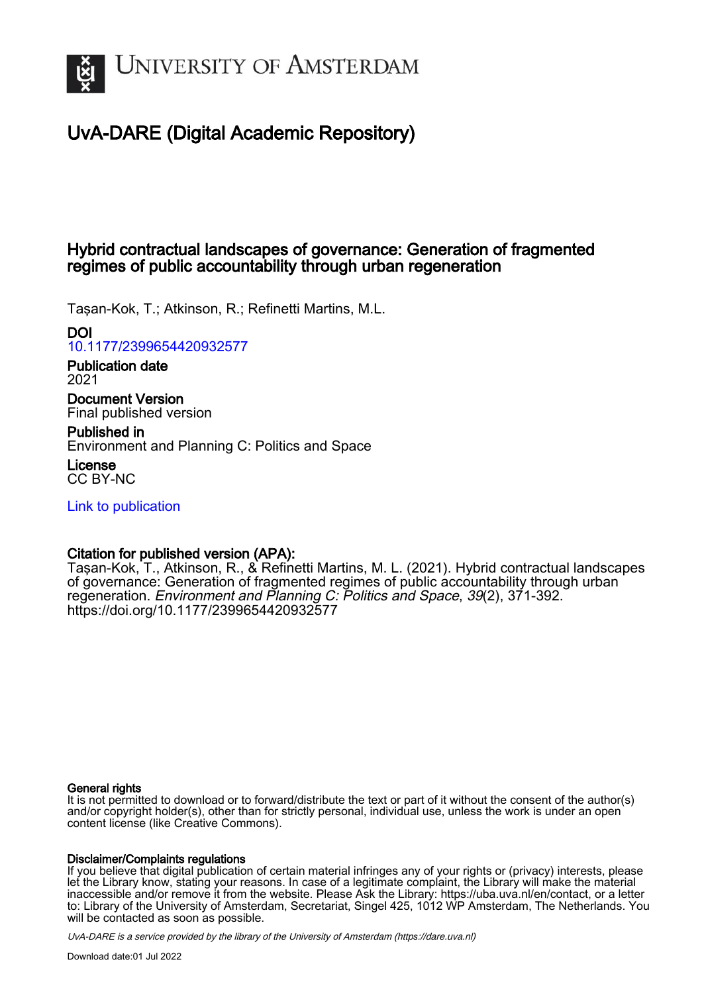

# UvA-DARE (Digital Academic Repository)

## Hybrid contractual landscapes of governance: Generation of fragmented regimes of public accountability through urban regeneration

Taşan-Kok, T.; Atkinson, R.; Refinetti Martins, M.L.

## DOI

[10.1177/2399654420932577](https://doi.org/10.1177/2399654420932577)

Publication date 2021

Document Version Final published version

Published in Environment and Planning C: Politics and Space

License CC BY-NC

[Link to publication](https://dare.uva.nl/personal/pure/en/publications/hybrid-contractual-landscapes-of-governance-generation-of-fragmented-regimes-of-public-accountability-through-urban-regeneration(9febcdab-852f-460d-b292-a379067efccd).html)

## Citation for published version (APA):

Taşan-Kok, T., Atkinson, R., & Refinetti Martins, M. L. (2021). Hybrid contractual landscapes of governance: Generation of fragmented regimes of public accountability through urban regeneration. Environment and Planning C: Politics and Space, 39(2), 371-392. <https://doi.org/10.1177/2399654420932577>

#### General rights

It is not permitted to download or to forward/distribute the text or part of it without the consent of the author(s) and/or copyright holder(s), other than for strictly personal, individual use, unless the work is under an open content license (like Creative Commons).

#### Disclaimer/Complaints regulations

If you believe that digital publication of certain material infringes any of your rights or (privacy) interests, please let the Library know, stating your reasons. In case of a legitimate complaint, the Library will make the material inaccessible and/or remove it from the website. Please Ask the Library: https://uba.uva.nl/en/contact, or a letter to: Library of the University of Amsterdam, Secretariat, Singel 425, 1012 WP Amsterdam, The Netherlands. You will be contacted as soon as possible.

UvA-DARE is a service provided by the library of the University of Amsterdam (http*s*://dare.uva.nl)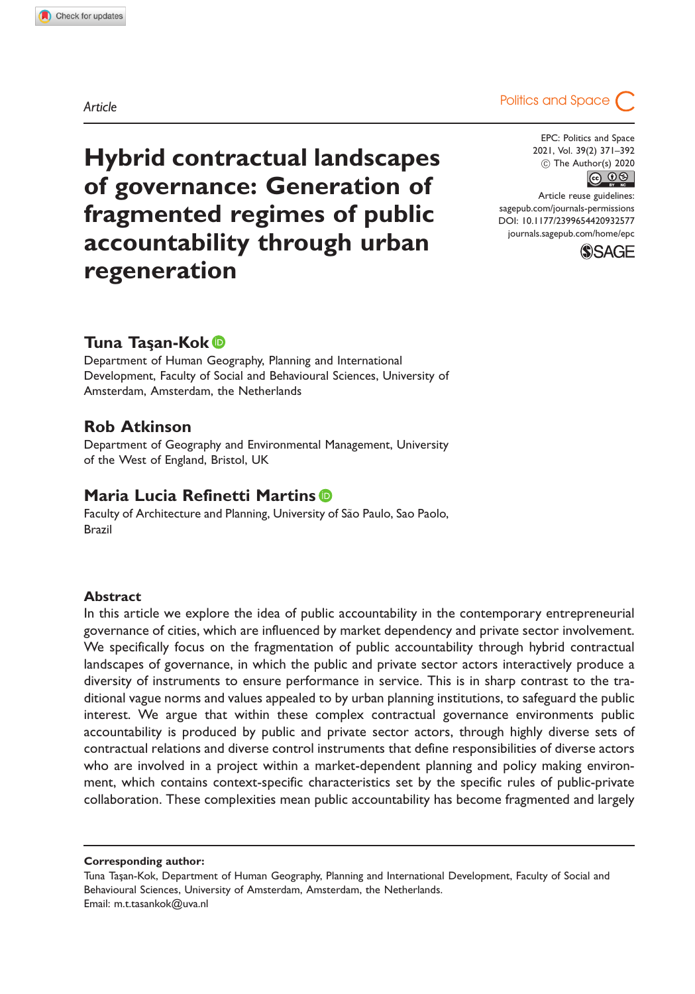

### Tuna Tas¸an-Kok

Department of Human Geography, Planning and International Development, Faculty of Social and Behavioural Sciences, University of Amsterdam, Amsterdam, the Netherlands

### Rob Atkinson

Department of Geography and Environmental Management, University of the West of England, Bristol, UK

#### Maria Lucia Refinetti Martins<sup>®</sup>

Faculty of Architecture and Planning, University of São Paulo, Sao Paolo, Brazil

#### Abstract

In this article we explore the idea of public accountability in the contemporary entrepreneurial governance of cities, which are influenced by market dependency and private sector involvement. We specifically focus on the fragmentation of public accountability through hybrid contractual landscapes of governance, in which the public and private sector actors interactively produce a diversity of instruments to ensure performance in service. This is in sharp contrast to the traditional vague norms and values appealed to by urban planning institutions, to safeguard the public interest. We argue that within these complex contractual governance environments public accountability is produced by public and private sector actors, through highly diverse sets of contractual relations and diverse control instruments that define responsibilities of diverse actors who are involved in a project within a market-dependent planning and policy making environment, which contains context-specific characteristics set by the specific rules of public-private collaboration. These complexities mean public accountability has become fragmented and largely

Corresponding author:

Tuna Taşan-Kok, Department of Human Geography, Planning and International Development, Faculty of Social and Behavioural Sciences, University of Amsterdam, Amsterdam, the Netherlands. Email: [m.t.tasankok@uva.nl](mailto:m.t.tasankok@uva.nl)

Article **Article Article Article Politics** and Space

EPC: Politics and Space 2021, Vol. 39(2) 371–392 (c) The Author(s) 2020  $\circledcirc$   $\circledcirc$ 

Article reuse guidelines: [sagepub.com/journals-permissions](http://uk.sagepub.com/en-gb/journals-permissions) [DOI: 10.1177/2399654420932577](http://dx.doi.org/10.1177/2399654420932577) <journals.sagepub.com/home/epc>

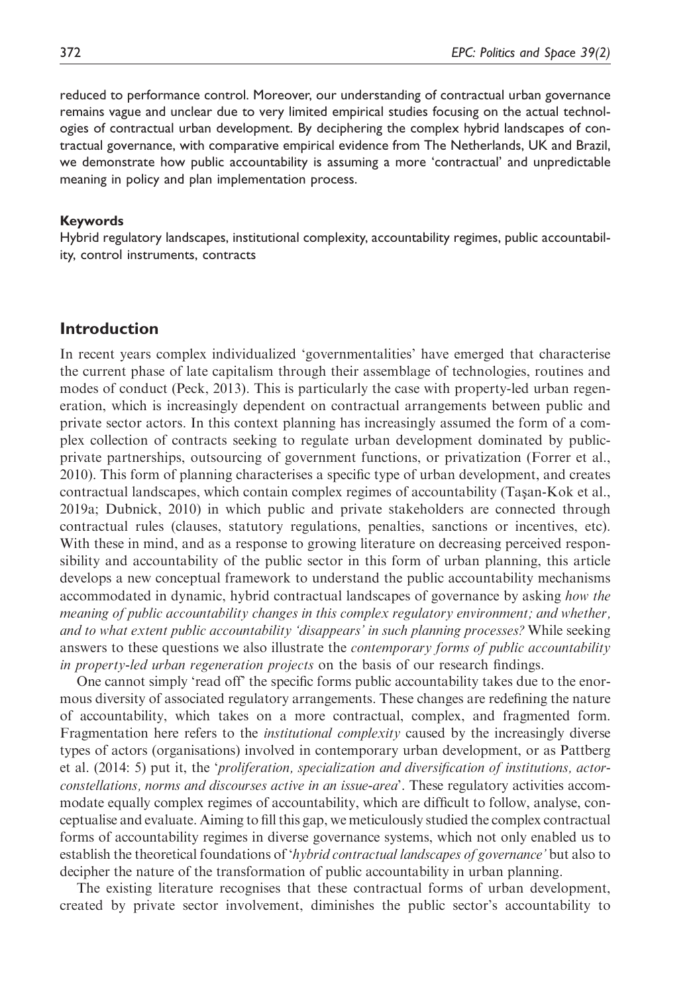reduced to performance control. Moreover, our understanding of contractual urban governance remains vague and unclear due to very limited empirical studies focusing on the actual technologies of contractual urban development. By deciphering the complex hybrid landscapes of contractual governance, with comparative empirical evidence from The Netherlands, UK and Brazil, we demonstrate how public accountability is assuming a more 'contractual' and unpredictable meaning in policy and plan implementation process.

#### Keywords

Hybrid regulatory landscapes, institutional complexity, accountability regimes, public accountability, control instruments, contracts

#### Introduction

In recent years complex individualized 'governmentalities' have emerged that characterise the current phase of late capitalism through their assemblage of technologies, routines and modes of conduct (Peck, 2013). This is particularly the case with property-led urban regeneration, which is increasingly dependent on contractual arrangements between public and private sector actors. In this context planning has increasingly assumed the form of a complex collection of contracts seeking to regulate urban development dominated by publicprivate partnerships, outsourcing of government functions, or privatization (Forrer et al., 2010). This form of planning characterises a specific type of urban development, and creates contractual landscapes, which contain complex regimes of accountability (Taşan-Kok et al., 2019a; Dubnick, 2010) in which public and private stakeholders are connected through contractual rules (clauses, statutory regulations, penalties, sanctions or incentives, etc). With these in mind, and as a response to growing literature on decreasing perceived responsibility and accountability of the public sector in this form of urban planning, this article develops a new conceptual framework to understand the public accountability mechanisms accommodated in dynamic, hybrid contractual landscapes of governance by asking how the meaning of public accountability changes in this complex regulatory environment; and whether, and to what extent public accountability 'disappears' in such planning processes? While seeking answers to these questions we also illustrate the *contemporary forms of public accountability* in property-led urban regeneration projects on the basis of our research findings.

One cannot simply 'read off' the specific forms public accountability takes due to the enormous diversity of associated regulatory arrangements. These changes are redefining the nature of accountability, which takes on a more contractual, complex, and fragmented form. Fragmentation here refers to the *institutional complexity* caused by the increasingly diverse types of actors (organisations) involved in contemporary urban development, or as Pattberg et al. (2014: 5) put it, the 'proliferation, specialization and diversification of institutions, actorconstellations, norms and discourses active in an issue-area'. These regulatory activities accommodate equally complex regimes of accountability, which are difficult to follow, analyse, conceptualise and evaluate. Aiming to fill this gap, we meticulously studied the complex contractual forms of accountability regimes in diverse governance systems, which not only enabled us to establish the theoretical foundations of '*hybrid contractual landscapes of governance*' but also to decipher the nature of the transformation of public accountability in urban planning.

The existing literature recognises that these contractual forms of urban development, created by private sector involvement, diminishes the public sector's accountability to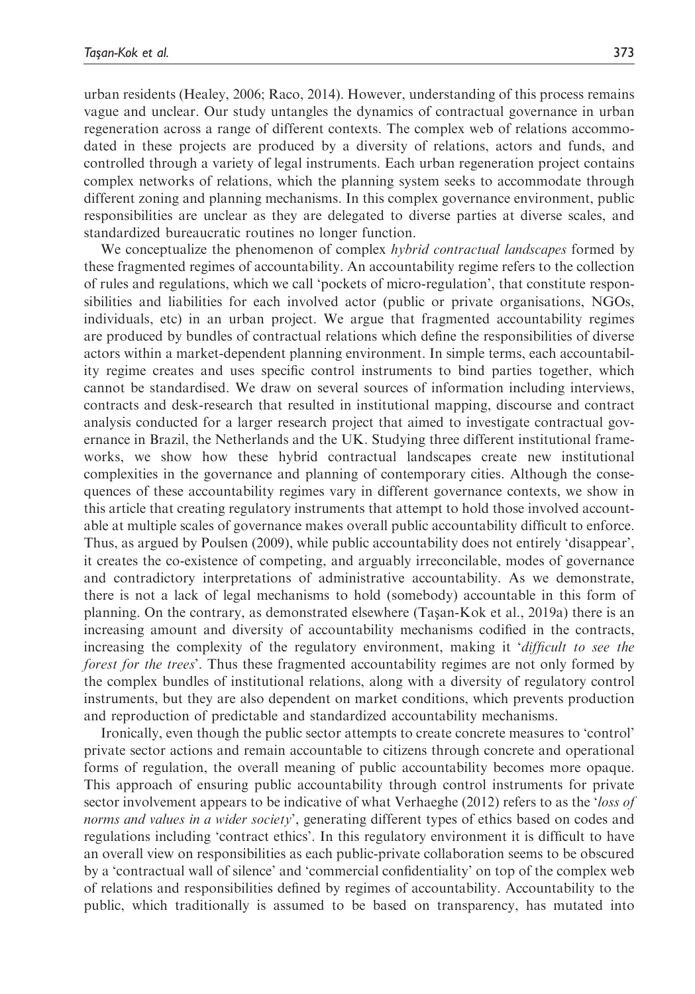urban residents (Healey, 2006; Raco, 2014). However, understanding of this process remains vague and unclear. Our study untangles the dynamics of contractual governance in urban regeneration across a range of different contexts. The complex web of relations accommodated in these projects are produced by a diversity of relations, actors and funds, and controlled through a variety of legal instruments. Each urban regeneration project contains complex networks of relations, which the planning system seeks to accommodate through different zoning and planning mechanisms. In this complex governance environment, public responsibilities are unclear as they are delegated to diverse parties at diverse scales, and standardized bureaucratic routines no longer function.

We conceptualize the phenomenon of complex *hybrid contractual landscapes* formed by these fragmented regimes of accountability. An accountability regime refers to the collection of rules and regulations, which we call 'pockets of micro-regulation', that constitute responsibilities and liabilities for each involved actor (public or private organisations, NGOs, individuals, etc) in an urban project. We argue that fragmented accountability regimes are produced by bundles of contractual relations which define the responsibilities of diverse actors within a market-dependent planning environment. In simple terms, each accountability regime creates and uses specific control instruments to bind parties together, which cannot be standardised. We draw on several sources of information including interviews, contracts and desk-research that resulted in institutional mapping, discourse and contract analysis conducted for a larger research project that aimed to investigate contractual governance in Brazil, the Netherlands and the UK. Studying three different institutional frameworks, we show how these hybrid contractual landscapes create new institutional complexities in the governance and planning of contemporary cities. Although the consequences of these accountability regimes vary in different governance contexts, we show in this article that creating regulatory instruments that attempt to hold those involved accountable at multiple scales of governance makes overall public accountability difficult to enforce. Thus, as argued by Poulsen (2009), while public accountability does not entirely 'disappear', it creates the co-existence of competing, and arguably irreconcilable, modes of governance and contradictory interpretations of administrative accountability. As we demonstrate, there is not a lack of legal mechanisms to hold (somebody) accountable in this form of planning. On the contrary, as demonstrated elsewhere (Taşan-Kok et al., 2019a) there is an increasing amount and diversity of accountability mechanisms codified in the contracts, increasing the complexity of the regulatory environment, making it 'difficult to see the forest for the trees'. Thus these fragmented accountability regimes are not only formed by the complex bundles of institutional relations, along with a diversity of regulatory control instruments, but they are also dependent on market conditions, which prevents production and reproduction of predictable and standardized accountability mechanisms.

Ironically, even though the public sector attempts to create concrete measures to 'control' private sector actions and remain accountable to citizens through concrete and operational forms of regulation, the overall meaning of public accountability becomes more opaque. This approach of ensuring public accountability through control instruments for private sector involvement appears to be indicative of what Verhaeghe (2012) refers to as the 'loss of norms and values in a wider society', generating different types of ethics based on codes and regulations including 'contract ethics'. In this regulatory environment it is difficult to have an overall view on responsibilities as each public-private collaboration seems to be obscured by a 'contractual wall of silence' and 'commercial confidentiality' on top of the complex web of relations and responsibilities defined by regimes of accountability. Accountability to the public, which traditionally is assumed to be based on transparency, has mutated into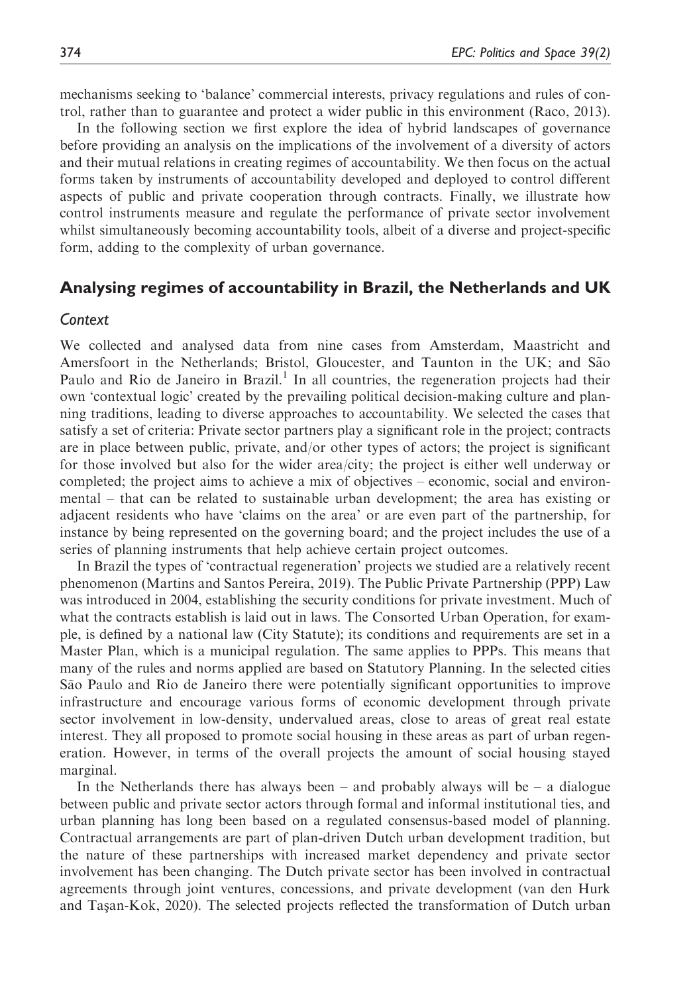mechanisms seeking to 'balance' commercial interests, privacy regulations and rules of control, rather than to guarantee and protect a wider public in this environment (Raco, 2013).

In the following section we first explore the idea of hybrid landscapes of governance before providing an analysis on the implications of the involvement of a diversity of actors and their mutual relations in creating regimes of accountability. We then focus on the actual forms taken by instruments of accountability developed and deployed to control different aspects of public and private cooperation through contracts. Finally, we illustrate how control instruments measure and regulate the performance of private sector involvement whilst simultaneously becoming accountability tools, albeit of a diverse and project-specific form, adding to the complexity of urban governance.

#### Analysing regimes of accountability in Brazil, the Netherlands and UK

#### **Context**

We collected and analysed data from nine cases from Amsterdam, Maastricht and Amersfoort in the Netherlands; Bristol, Gloucester, and Taunton in the UK; and São Paulo and Rio de Janeiro in Brazil.<sup>1</sup> In all countries, the regeneration projects had their own 'contextual logic' created by the prevailing political decision-making culture and planning traditions, leading to diverse approaches to accountability. We selected the cases that satisfy a set of criteria: Private sector partners play a significant role in the project; contracts are in place between public, private, and/or other types of actors; the project is significant for those involved but also for the wider area/city; the project is either well underway or completed; the project aims to achieve a mix of objectives – economic, social and environmental – that can be related to sustainable urban development; the area has existing or adjacent residents who have 'claims on the area' or are even part of the partnership, for instance by being represented on the governing board; and the project includes the use of a series of planning instruments that help achieve certain project outcomes.

In Brazil the types of 'contractual regeneration' projects we studied are a relatively recent phenomenon (Martins and Santos Pereira, 2019). The Public Private Partnership (PPP) Law was introduced in 2004, establishing the security conditions for private investment. Much of what the contracts establish is laid out in laws. The Consorted Urban Operation, for example, is defined by a national law (City Statute); its conditions and requirements are set in a Master Plan, which is a municipal regulation. The same applies to PPPs. This means that many of the rules and norms applied are based on Statutory Planning. In the selected cities São Paulo and Rio de Janeiro there were potentially significant opportunities to improve infrastructure and encourage various forms of economic development through private sector involvement in low-density, undervalued areas, close to areas of great real estate interest. They all proposed to promote social housing in these areas as part of urban regeneration. However, in terms of the overall projects the amount of social housing stayed marginal.

In the Netherlands there has always been – and probably always will be – a dialogue between public and private sector actors through formal and informal institutional ties, and urban planning has long been based on a regulated consensus-based model of planning. Contractual arrangements are part of plan-driven Dutch urban development tradition, but the nature of these partnerships with increased market dependency and private sector involvement has been changing. The Dutch private sector has been involved in contractual agreements through joint ventures, concessions, and private development (van den Hurk and Taşan-Kok, 2020). The selected projects reflected the transformation of Dutch urban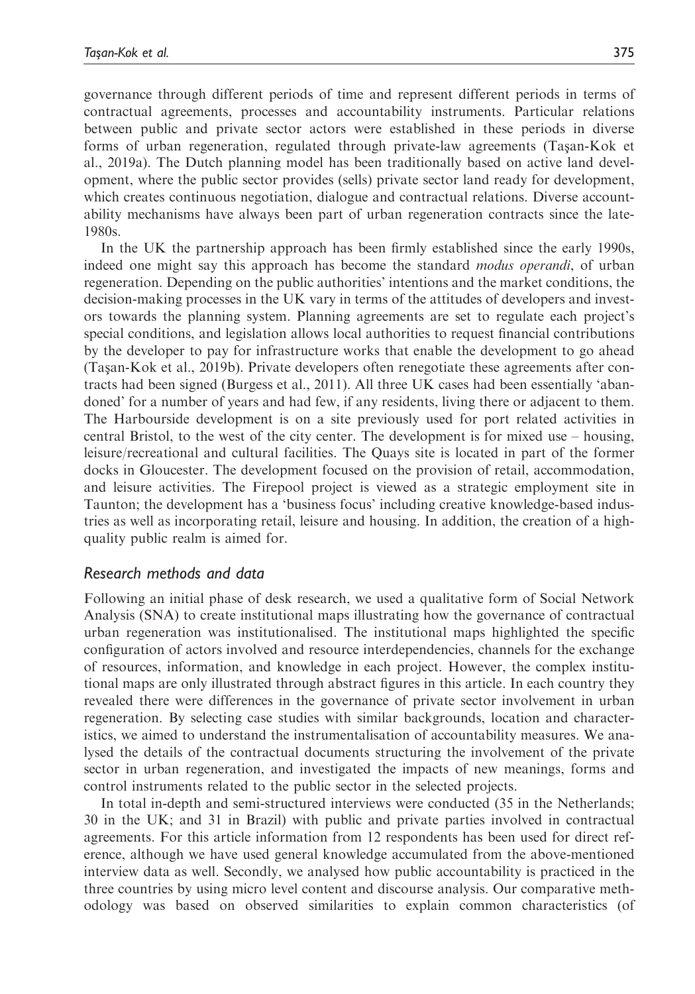governance through different periods of time and represent different periods in terms of contractual agreements, processes and accountability instruments. Particular relations between public and private sector actors were established in these periods in diverse forms of urban regeneration, regulated through private-law agreements (Tasan-Kok et al., 2019a). The Dutch planning model has been traditionally based on active land development, where the public sector provides (sells) private sector land ready for development, which creates continuous negotiation, dialogue and contractual relations. Diverse accountability mechanisms have always been part of urban regeneration contracts since the late-1980s.

In the UK the partnership approach has been firmly established since the early 1990s, indeed one might say this approach has become the standard *modus operandi*, of urban regeneration. Depending on the public authorities' intentions and the market conditions, the decision-making processes in the UK vary in terms of the attitudes of developers and investors towards the planning system. Planning agreements are set to regulate each project's special conditions, and legislation allows local authorities to request financial contributions by the developer to pay for infrastructure works that enable the development to go ahead (Tas¸an-Kok et al., 2019b). Private developers often renegotiate these agreements after contracts had been signed (Burgess et al., 2011). All three UK cases had been essentially 'abandoned' for a number of years and had few, if any residents, living there or adjacent to them. The Harbourside development is on a site previously used for port related activities in central Bristol, to the west of the city center. The development is for mixed use – housing, leisure/recreational and cultural facilities. The Quays site is located in part of the former docks in Gloucester. The development focused on the provision of retail, accommodation, and leisure activities. The Firepool project is viewed as a strategic employment site in Taunton; the development has a 'business focus' including creative knowledge-based industries as well as incorporating retail, leisure and housing. In addition, the creation of a highquality public realm is aimed for.

#### Research methods and data

Following an initial phase of desk research, we used a qualitative form of Social Network Analysis (SNA) to create institutional maps illustrating how the governance of contractual urban regeneration was institutionalised. The institutional maps highlighted the specific configuration of actors involved and resource interdependencies, channels for the exchange of resources, information, and knowledge in each project. However, the complex institutional maps are only illustrated through abstract figures in this article. In each country they revealed there were differences in the governance of private sector involvement in urban regeneration. By selecting case studies with similar backgrounds, location and characteristics, we aimed to understand the instrumentalisation of accountability measures. We analysed the details of the contractual documents structuring the involvement of the private sector in urban regeneration, and investigated the impacts of new meanings, forms and control instruments related to the public sector in the selected projects.

In total in-depth and semi-structured interviews were conducted (35 in the Netherlands; 30 in the UK; and 31 in Brazil) with public and private parties involved in contractual agreements. For this article information from 12 respondents has been used for direct reference, although we have used general knowledge accumulated from the above-mentioned interview data as well. Secondly, we analysed how public accountability is practiced in the three countries by using micro level content and discourse analysis. Our comparative methodology was based on observed similarities to explain common characteristics (of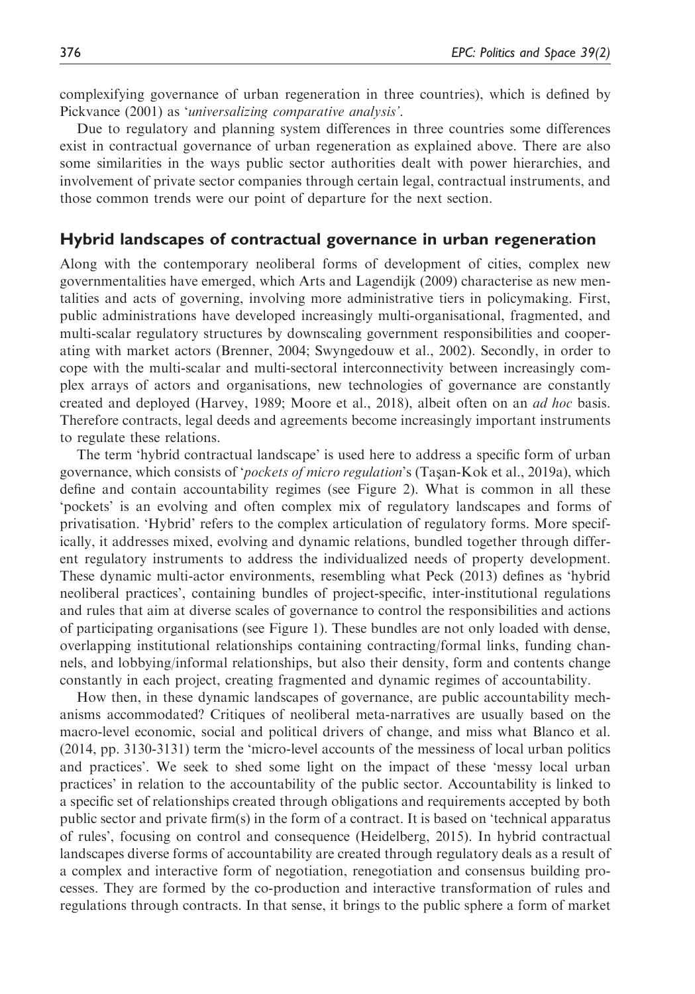complexifying governance of urban regeneration in three countries), which is defined by Pickvance (2001) as 'universalizing comparative analysis'.

Due to regulatory and planning system differences in three countries some differences exist in contractual governance of urban regeneration as explained above. There are also some similarities in the ways public sector authorities dealt with power hierarchies, and involvement of private sector companies through certain legal, contractual instruments, and those common trends were our point of departure for the next section.

#### Hybrid landscapes of contractual governance in urban regeneration

Along with the contemporary neoliberal forms of development of cities, complex new governmentalities have emerged, which Arts and Lagendijk (2009) characterise as new mentalities and acts of governing, involving more administrative tiers in policymaking. First, public administrations have developed increasingly multi-organisational, fragmented, and multi-scalar regulatory structures by downscaling government responsibilities and cooperating with market actors (Brenner, 2004; Swyngedouw et al., 2002). Secondly, in order to cope with the multi-scalar and multi-sectoral interconnectivity between increasingly complex arrays of actors and organisations, new technologies of governance are constantly created and deployed (Harvey, 1989; Moore et al., 2018), albeit often on an *ad hoc* basis. Therefore contracts, legal deeds and agreements become increasingly important instruments to regulate these relations.

The term 'hybrid contractual landscape' is used here to address a specific form of urban governance, which consists of '*pockets of micro regulation*'s (Tasan-Kok et al., 2019a), which define and contain accountability regimes (see Figure 2). What is common in all these 'pockets' is an evolving and often complex mix of regulatory landscapes and forms of privatisation. 'Hybrid' refers to the complex articulation of regulatory forms. More specifically, it addresses mixed, evolving and dynamic relations, bundled together through different regulatory instruments to address the individualized needs of property development. These dynamic multi-actor environments, resembling what Peck (2013) defines as 'hybrid neoliberal practices', containing bundles of project-specific, inter-institutional regulations and rules that aim at diverse scales of governance to control the responsibilities and actions of participating organisations (see Figure 1). These bundles are not only loaded with dense, overlapping institutional relationships containing contracting/formal links, funding channels, and lobbying/informal relationships, but also their density, form and contents change constantly in each project, creating fragmented and dynamic regimes of accountability.

How then, in these dynamic landscapes of governance, are public accountability mechanisms accommodated? Critiques of neoliberal meta-narratives are usually based on the macro-level economic, social and political drivers of change, and miss what Blanco et al. (2014, pp. 3130-3131) term the 'micro-level accounts of the messiness of local urban politics and practices'. We seek to shed some light on the impact of these 'messy local urban practices' in relation to the accountability of the public sector. Accountability is linked to a specific set of relationships created through obligations and requirements accepted by both public sector and private firm(s) in the form of a contract. It is based on 'technical apparatus of rules', focusing on control and consequence (Heidelberg, 2015). In hybrid contractual landscapes diverse forms of accountability are created through regulatory deals as a result of a complex and interactive form of negotiation, renegotiation and consensus building processes. They are formed by the co-production and interactive transformation of rules and regulations through contracts. In that sense, it brings to the public sphere a form of market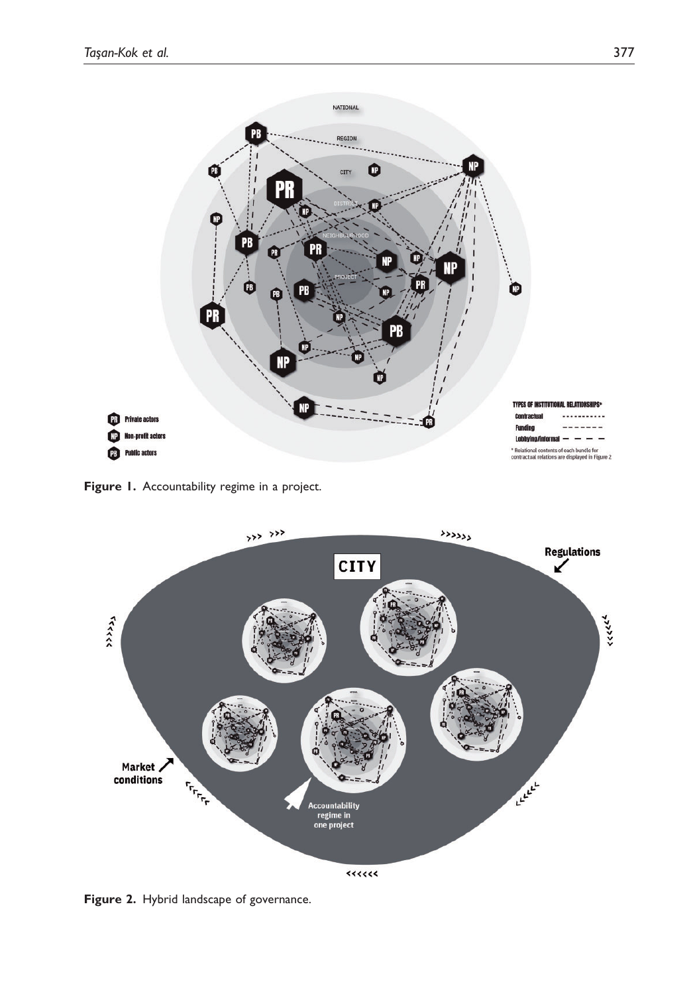

Figure 1. Accountability regime in a project.



Figure 2. Hybrid landscape of governance.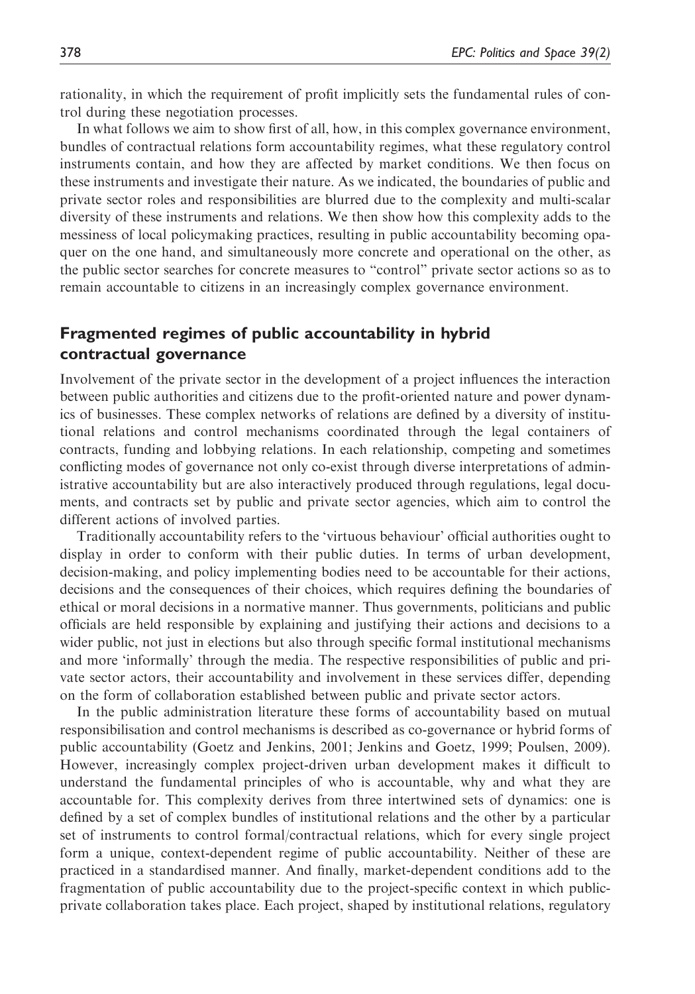rationality, in which the requirement of profit implicitly sets the fundamental rules of control during these negotiation processes.

In what follows we aim to show first of all, how, in this complex governance environment, bundles of contractual relations form accountability regimes, what these regulatory control instruments contain, and how they are affected by market conditions. We then focus on these instruments and investigate their nature. As we indicated, the boundaries of public and private sector roles and responsibilities are blurred due to the complexity and multi-scalar diversity of these instruments and relations. We then show how this complexity adds to the messiness of local policymaking practices, resulting in public accountability becoming opaquer on the one hand, and simultaneously more concrete and operational on the other, as the public sector searches for concrete measures to "control" private sector actions so as to remain accountable to citizens in an increasingly complex governance environment.

## Fragmented regimes of public accountability in hybrid contractual governance

Involvement of the private sector in the development of a project influences the interaction between public authorities and citizens due to the profit-oriented nature and power dynamics of businesses. These complex networks of relations are defined by a diversity of institutional relations and control mechanisms coordinated through the legal containers of contracts, funding and lobbying relations. In each relationship, competing and sometimes conflicting modes of governance not only co-exist through diverse interpretations of administrative accountability but are also interactively produced through regulations, legal documents, and contracts set by public and private sector agencies, which aim to control the different actions of involved parties.

Traditionally accountability refers to the 'virtuous behaviour' official authorities ought to display in order to conform with their public duties. In terms of urban development, decision-making, and policy implementing bodies need to be accountable for their actions, decisions and the consequences of their choices, which requires defining the boundaries of ethical or moral decisions in a normative manner. Thus governments, politicians and public officials are held responsible by explaining and justifying their actions and decisions to a wider public, not just in elections but also through specific formal institutional mechanisms and more 'informally' through the media. The respective responsibilities of public and private sector actors, their accountability and involvement in these services differ, depending on the form of collaboration established between public and private sector actors.

In the public administration literature these forms of accountability based on mutual responsibilisation and control mechanisms is described as co-governance or hybrid forms of public accountability (Goetz and Jenkins, 2001; Jenkins and Goetz, 1999; Poulsen, 2009). However, increasingly complex project-driven urban development makes it difficult to understand the fundamental principles of who is accountable, why and what they are accountable for. This complexity derives from three intertwined sets of dynamics: one is defined by a set of complex bundles of institutional relations and the other by a particular set of instruments to control formal/contractual relations, which for every single project form a unique, context-dependent regime of public accountability. Neither of these are practiced in a standardised manner. And finally, market-dependent conditions add to the fragmentation of public accountability due to the project-specific context in which publicprivate collaboration takes place. Each project, shaped by institutional relations, regulatory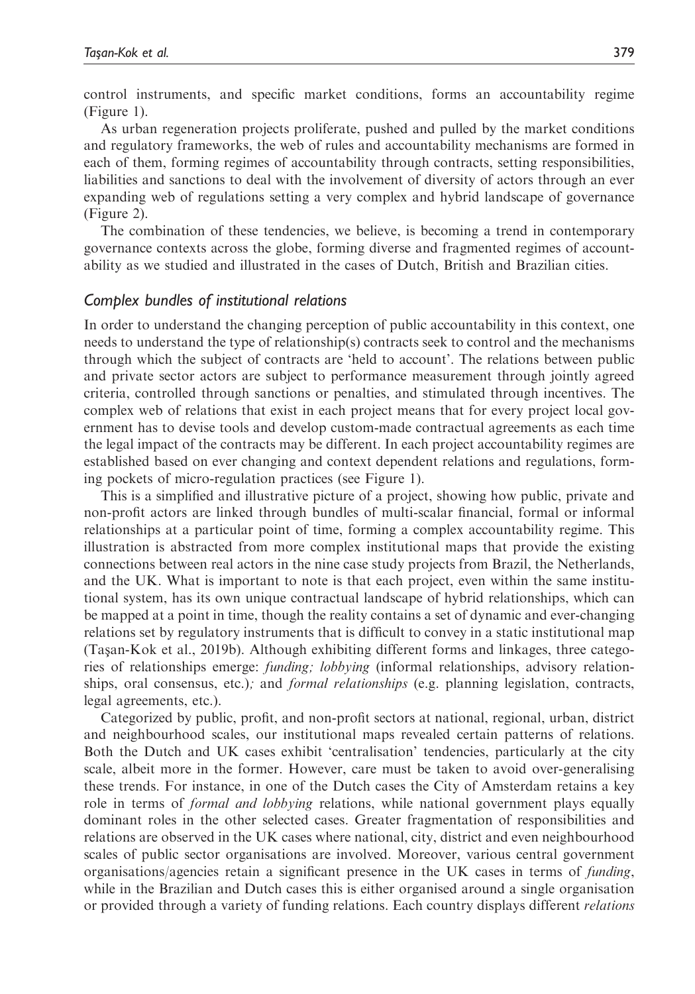control instruments, and specific market conditions, forms an accountability regime (Figure 1).

As urban regeneration projects proliferate, pushed and pulled by the market conditions and regulatory frameworks, the web of rules and accountability mechanisms are formed in each of them, forming regimes of accountability through contracts, setting responsibilities, liabilities and sanctions to deal with the involvement of diversity of actors through an ever expanding web of regulations setting a very complex and hybrid landscape of governance (Figure 2).

The combination of these tendencies, we believe, is becoming a trend in contemporary governance contexts across the globe, forming diverse and fragmented regimes of accountability as we studied and illustrated in the cases of Dutch, British and Brazilian cities.

#### Complex bundles of institutional relations

In order to understand the changing perception of public accountability in this context, one needs to understand the type of relationship(s) contracts seek to control and the mechanisms through which the subject of contracts are 'held to account'. The relations between public and private sector actors are subject to performance measurement through jointly agreed criteria, controlled through sanctions or penalties, and stimulated through incentives. The complex web of relations that exist in each project means that for every project local government has to devise tools and develop custom-made contractual agreements as each time the legal impact of the contracts may be different. In each project accountability regimes are established based on ever changing and context dependent relations and regulations, forming pockets of micro-regulation practices (see Figure 1).

This is a simplified and illustrative picture of a project, showing how public, private and non-profit actors are linked through bundles of multi-scalar financial, formal or informal relationships at a particular point of time, forming a complex accountability regime. This illustration is abstracted from more complex institutional maps that provide the existing connections between real actors in the nine case study projects from Brazil, the Netherlands, and the UK. What is important to note is that each project, even within the same institutional system, has its own unique contractual landscape of hybrid relationships, which can be mapped at a point in time, though the reality contains a set of dynamic and ever-changing relations set by regulatory instruments that is difficult to convey in a static institutional map (Taşan-Kok et al., 2019b). Although exhibiting different forms and linkages, three categories of relationships emerge: funding; lobbying (informal relationships, advisory relationships, oral consensus, etc.); and *formal relationships* (e.g. planning legislation, contracts, legal agreements, etc.).

Categorized by public, profit, and non-profit sectors at national, regional, urban, district and neighbourhood scales, our institutional maps revealed certain patterns of relations. Both the Dutch and UK cases exhibit 'centralisation' tendencies, particularly at the city scale, albeit more in the former. However, care must be taken to avoid over-generalising these trends. For instance, in one of the Dutch cases the City of Amsterdam retains a key role in terms of *formal and lobbying* relations, while national government plays equally dominant roles in the other selected cases. Greater fragmentation of responsibilities and relations are observed in the UK cases where national, city, district and even neighbourhood scales of public sector organisations are involved. Moreover, various central government organisations/agencies retain a significant presence in the UK cases in terms of funding, while in the Brazilian and Dutch cases this is either organised around a single organisation or provided through a variety of funding relations. Each country displays different relations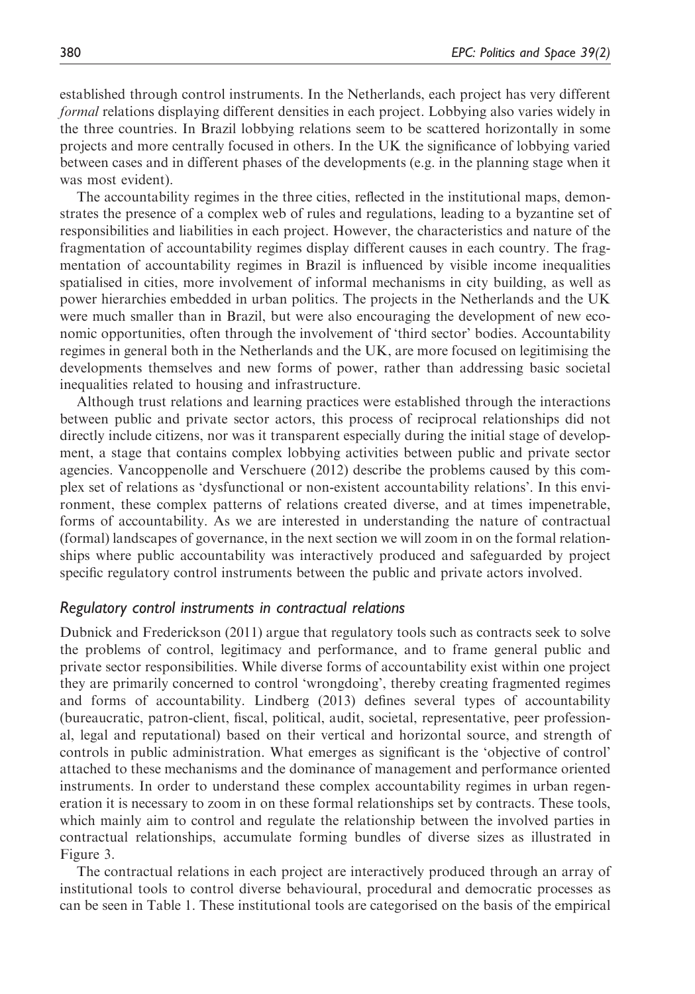established through control instruments. In the Netherlands, each project has very different formal relations displaying different densities in each project. Lobbying also varies widely in the three countries. In Brazil lobbying relations seem to be scattered horizontally in some projects and more centrally focused in others. In the UK the significance of lobbying varied between cases and in different phases of the developments (e.g. in the planning stage when it was most evident).

The accountability regimes in the three cities, reflected in the institutional maps, demonstrates the presence of a complex web of rules and regulations, leading to a byzantine set of responsibilities and liabilities in each project. However, the characteristics and nature of the fragmentation of accountability regimes display different causes in each country. The fragmentation of accountability regimes in Brazil is influenced by visible income inequalities spatialised in cities, more involvement of informal mechanisms in city building, as well as power hierarchies embedded in urban politics. The projects in the Netherlands and the UK were much smaller than in Brazil, but were also encouraging the development of new economic opportunities, often through the involvement of 'third sector' bodies. Accountability regimes in general both in the Netherlands and the UK, are more focused on legitimising the developments themselves and new forms of power, rather than addressing basic societal inequalities related to housing and infrastructure.

Although trust relations and learning practices were established through the interactions between public and private sector actors, this process of reciprocal relationships did not directly include citizens, nor was it transparent especially during the initial stage of development, a stage that contains complex lobbying activities between public and private sector agencies. Vancoppenolle and Verschuere (2012) describe the problems caused by this complex set of relations as 'dysfunctional or non-existent accountability relations'. In this environment, these complex patterns of relations created diverse, and at times impenetrable, forms of accountability. As we are interested in understanding the nature of contractual (formal) landscapes of governance, in the next section we will zoom in on the formal relationships where public accountability was interactively produced and safeguarded by project specific regulatory control instruments between the public and private actors involved.

#### Regulatory control instruments in contractual relations

Dubnick and Frederickson (2011) argue that regulatory tools such as contracts seek to solve the problems of control, legitimacy and performance, and to frame general public and private sector responsibilities. While diverse forms of accountability exist within one project they are primarily concerned to control 'wrongdoing', thereby creating fragmented regimes and forms of accountability. Lindberg (2013) defines several types of accountability (bureaucratic, patron-client, fiscal, political, audit, societal, representative, peer professional, legal and reputational) based on their vertical and horizontal source, and strength of controls in public administration. What emerges as significant is the 'objective of control' attached to these mechanisms and the dominance of management and performance oriented instruments. In order to understand these complex accountability regimes in urban regeneration it is necessary to zoom in on these formal relationships set by contracts. These tools, which mainly aim to control and regulate the relationship between the involved parties in contractual relationships, accumulate forming bundles of diverse sizes as illustrated in Figure 3.

The contractual relations in each project are interactively produced through an array of institutional tools to control diverse behavioural, procedural and democratic processes as can be seen in Table 1. These institutional tools are categorised on the basis of the empirical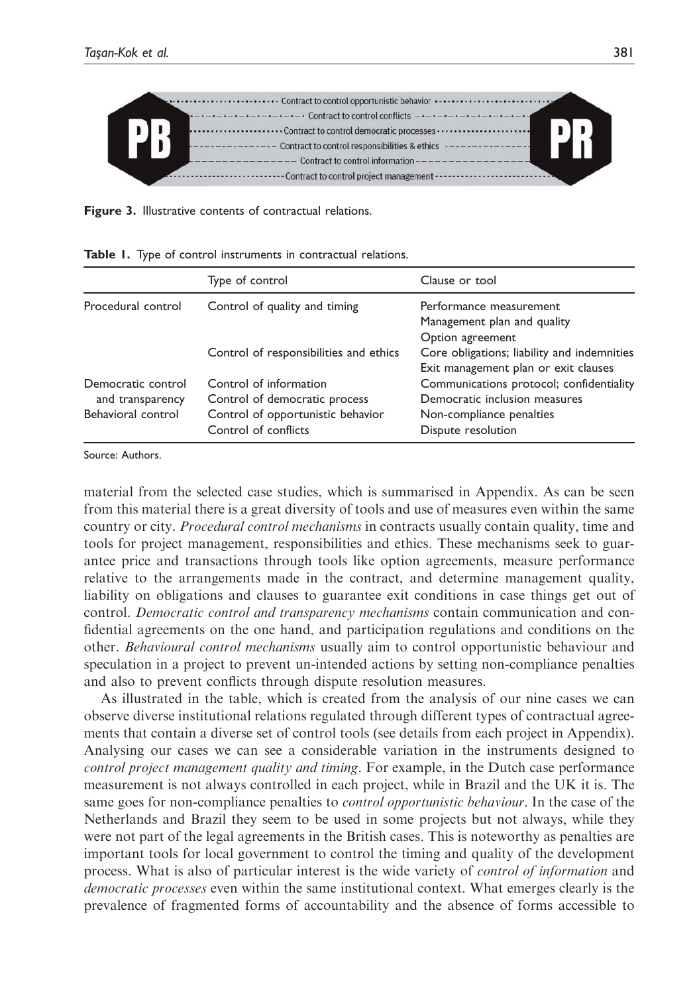

Figure 3. Illustrative contents of contractual relations.

|                    | Type of control                        | Clause or tool                              |
|--------------------|----------------------------------------|---------------------------------------------|
| Procedural control | Control of quality and timing          | Performance measurement                     |
|                    |                                        | Management plan and quality                 |
|                    |                                        | Option agreement                            |
|                    | Control of responsibilities and ethics | Core obligations; liability and indemnities |
|                    |                                        | Exit management plan or exit clauses        |
| Democratic control | Control of information                 | Communications protocol; confidentiality    |
| and transparency   | Control of democratic process          | Democratic inclusion measures               |
| Behavioral control | Control of opportunistic behavior      | Non-compliance penalties                    |
|                    | Control of conflicts                   | Dispute resolution                          |
|                    |                                        |                                             |

|  |  |  |  | Table 1. Type of control instruments in contractual relations. |  |  |  |
|--|--|--|--|----------------------------------------------------------------|--|--|--|
|--|--|--|--|----------------------------------------------------------------|--|--|--|

Source: Authors.

material from the selected case studies, which is summarised in Appendix. As can be seen from this material there is a great diversity of tools and use of measures even within the same country or city. *Procedural control mechanisms* in contracts usually contain quality, time and tools for project management, responsibilities and ethics. These mechanisms seek to guarantee price and transactions through tools like option agreements, measure performance relative to the arrangements made in the contract, and determine management quality, liability on obligations and clauses to guarantee exit conditions in case things get out of control. Democratic control and transparency mechanisms contain communication and confidential agreements on the one hand, and participation regulations and conditions on the other. Behavioural control mechanisms usually aim to control opportunistic behaviour and speculation in a project to prevent un-intended actions by setting non-compliance penalties and also to prevent conflicts through dispute resolution measures.

As illustrated in the table, which is created from the analysis of our nine cases we can observe diverse institutional relations regulated through different types of contractual agreements that contain a diverse set of control tools (see details from each project in Appendix). Analysing our cases we can see a considerable variation in the instruments designed to control project management quality and timing. For example, in the Dutch case performance measurement is not always controlled in each project, while in Brazil and the UK it is. The same goes for non-compliance penalties to *control opportunistic behaviour*. In the case of the Netherlands and Brazil they seem to be used in some projects but not always, while they were not part of the legal agreements in the British cases. This is noteworthy as penalties are important tools for local government to control the timing and quality of the development process. What is also of particular interest is the wide variety of control of information and democratic processes even within the same institutional context. What emerges clearly is the prevalence of fragmented forms of accountability and the absence of forms accessible to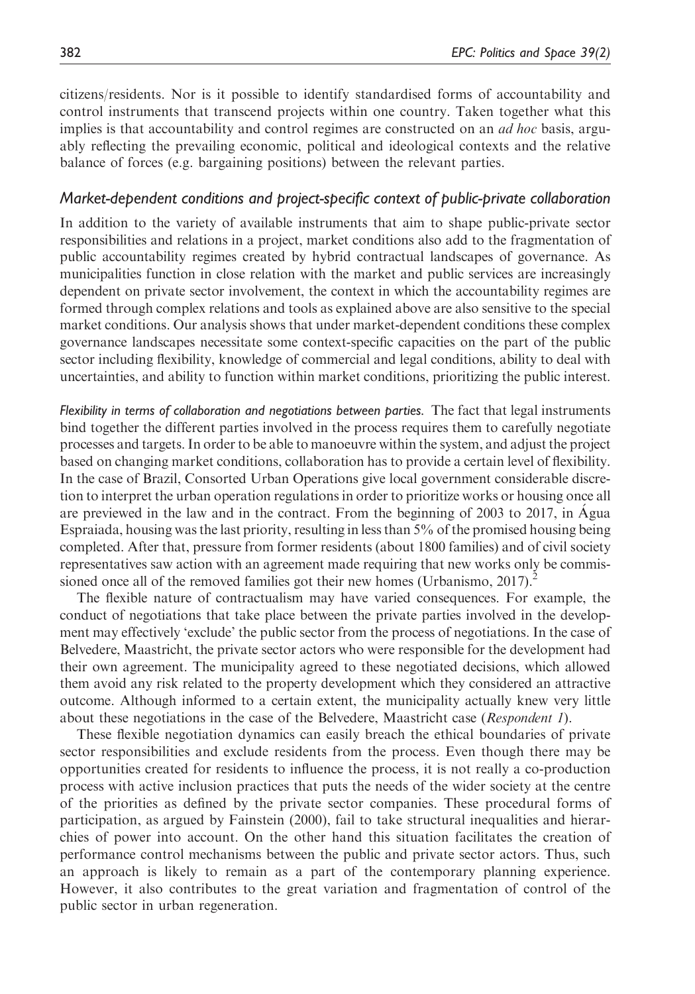citizens/residents. Nor is it possible to identify standardised forms of accountability and control instruments that transcend projects within one country. Taken together what this implies is that accountability and control regimes are constructed on an *ad hoc* basis, arguably reflecting the prevailing economic, political and ideological contexts and the relative balance of forces (e.g. bargaining positions) between the relevant parties.

#### Market-dependent conditions and project-specific context of public-private collaboration

In addition to the variety of available instruments that aim to shape public-private sector responsibilities and relations in a project, market conditions also add to the fragmentation of public accountability regimes created by hybrid contractual landscapes of governance. As municipalities function in close relation with the market and public services are increasingly dependent on private sector involvement, the context in which the accountability regimes are formed through complex relations and tools as explained above are also sensitive to the special market conditions. Our analysis shows that under market-dependent conditions these complex governance landscapes necessitate some context-specific capacities on the part of the public sector including flexibility, knowledge of commercial and legal conditions, ability to deal with uncertainties, and ability to function within market conditions, prioritizing the public interest.

Flexibility in terms of collaboration and negotiations between parties. The fact that legal instruments bind together the different parties involved in the process requires them to carefully negotiate processes and targets. In order to be able to manoeuvre within the system, and adjust the project based on changing market conditions, collaboration has to provide a certain level of flexibility. In the case of Brazil, Consorted Urban Operations give local government considerable discretion to interpret the urban operation regulations in order to prioritize works or housing once all are previewed in the law and in the contract. From the beginning of 2003 to 2017, in Água Espraiada, housing was the last priority, resulting in less than 5% of the promised housing being completed. After that, pressure from former residents (about 1800 families) and of civil society representatives saw action with an agreement made requiring that new works only be commissioned once all of the removed families got their new homes (Urbanismo,  $2017$ ).<sup>2</sup>

The flexible nature of contractualism may have varied consequences. For example, the conduct of negotiations that take place between the private parties involved in the development may effectively 'exclude' the public sector from the process of negotiations. In the case of Belvedere, Maastricht, the private sector actors who were responsible for the development had their own agreement. The municipality agreed to these negotiated decisions, which allowed them avoid any risk related to the property development which they considered an attractive outcome. Although informed to a certain extent, the municipality actually knew very little about these negotiations in the case of the Belvedere, Maastricht case (Respondent 1).

These flexible negotiation dynamics can easily breach the ethical boundaries of private sector responsibilities and exclude residents from the process. Even though there may be opportunities created for residents to influence the process, it is not really a co-production process with active inclusion practices that puts the needs of the wider society at the centre of the priorities as defined by the private sector companies. These procedural forms of participation, as argued by Fainstein (2000), fail to take structural inequalities and hierarchies of power into account. On the other hand this situation facilitates the creation of performance control mechanisms between the public and private sector actors. Thus, such an approach is likely to remain as a part of the contemporary planning experience. However, it also contributes to the great variation and fragmentation of control of the public sector in urban regeneration.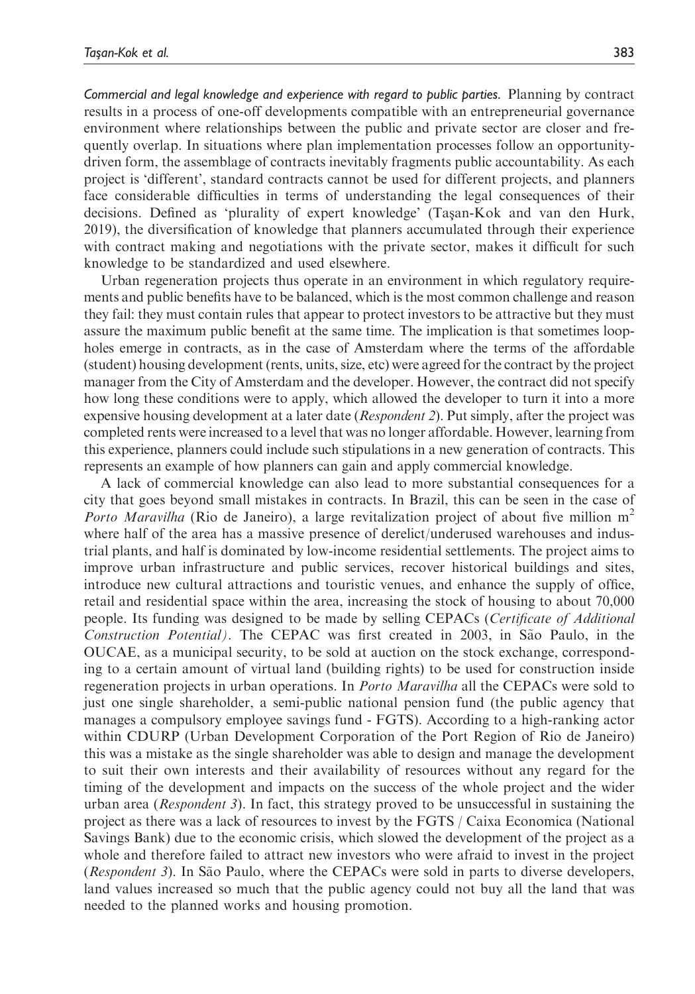Commercial and legal knowledge and experience with regard to public parties. Planning by contract results in a process of one-off developments compatible with an entrepreneurial governance environment where relationships between the public and private sector are closer and frequently overlap. In situations where plan implementation processes follow an opportunitydriven form, the assemblage of contracts inevitably fragments public accountability. As each project is 'different', standard contracts cannot be used for different projects, and planners face considerable difficulties in terms of understanding the legal consequences of their decisions. Defined as 'plurality of expert knowledge' (Tasan-Kok and van den Hurk, 2019), the diversification of knowledge that planners accumulated through their experience with contract making and negotiations with the private sector, makes it difficult for such knowledge to be standardized and used elsewhere.

Urban regeneration projects thus operate in an environment in which regulatory requirements and public benefits have to be balanced, which is the most common challenge and reason they fail: they must contain rules that appear to protect investors to be attractive but they must assure the maximum public benefit at the same time. The implication is that sometimes loopholes emerge in contracts, as in the case of Amsterdam where the terms of the affordable (student) housing development (rents, units, size, etc) were agreed for the contract by the project manager from the City of Amsterdam and the developer. However, the contract did not specify how long these conditions were to apply, which allowed the developer to turn it into a more expensive housing development at a later date *(Respondent 2)*. Put simply, after the project was completed rents were increased to a level that was no longer affordable. However, learning from this experience, planners could include such stipulations in a new generation of contracts. This represents an example of how planners can gain and apply commercial knowledge.

A lack of commercial knowledge can also lead to more substantial consequences for a city that goes beyond small mistakes in contracts. In Brazil, this can be seen in the case of *Porto Maravilha* (Rio de Janeiro), a large revitalization project of about five million  $m<sup>2</sup>$ where half of the area has a massive presence of derelict/underused warehouses and industrial plants, and half is dominated by low-income residential settlements. The project aims to improve urban infrastructure and public services, recover historical buildings and sites, introduce new cultural attractions and touristic venues, and enhance the supply of office, retail and residential space within the area, increasing the stock of housing to about 70,000 people. Its funding was designed to be made by selling CEPACs (Certificate of Additional Construction Potential). The CEPAC was first created in 2003, in São Paulo, in the OUCAE, as a municipal security, to be sold at auction on the stock exchange, corresponding to a certain amount of virtual land (building rights) to be used for construction inside regeneration projects in urban operations. In *Porto Maravilha* all the CEPACs were sold to just one single shareholder, a semi-public national pension fund (the public agency that manages a compulsory employee savings fund - FGTS). According to a high-ranking actor within CDURP (Urban Development Corporation of the Port Region of Rio de Janeiro) this was a mistake as the single shareholder was able to design and manage the development to suit their own interests and their availability of resources without any regard for the timing of the development and impacts on the success of the whole project and the wider urban area (Respondent 3). In fact, this strategy proved to be unsuccessful in sustaining the project as there was a lack of resources to invest by the FGTS / Caixa Economica (National Savings Bank) due to the economic crisis, which slowed the development of the project as a whole and therefore failed to attract new investors who were afraid to invest in the project (Respondent 3). In São Paulo, where the CEPACs were sold in parts to diverse developers, land values increased so much that the public agency could not buy all the land that was needed to the planned works and housing promotion.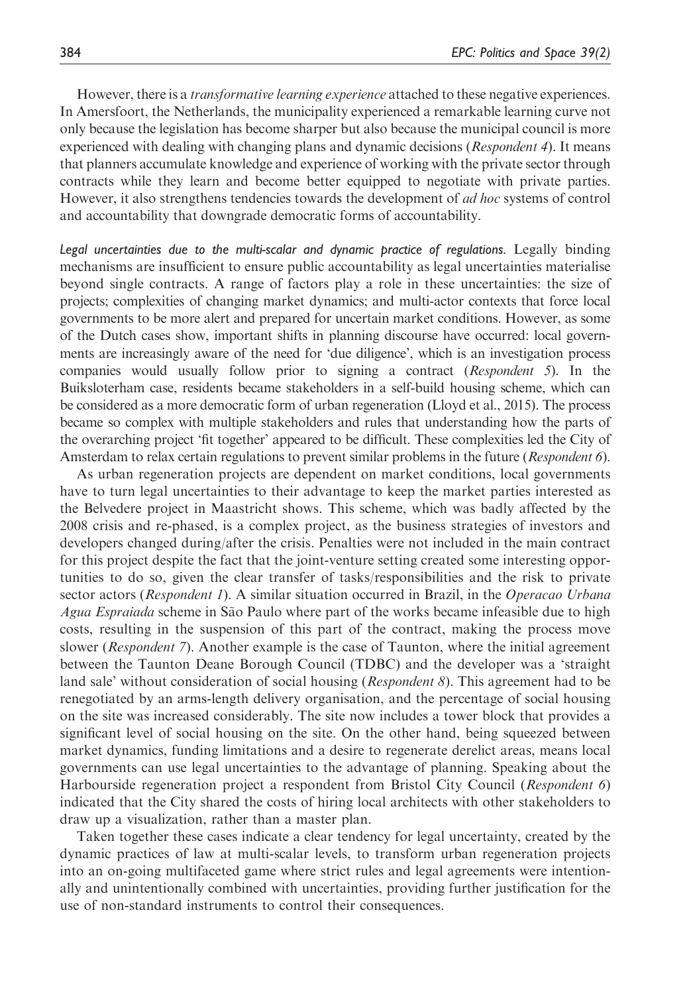However, there is a *transformative learning experience* attached to these negative experiences. In Amersfoort, the Netherlands, the municipality experienced a remarkable learning curve not only because the legislation has become sharper but also because the municipal council is more experienced with dealing with changing plans and dynamic decisions (*Respondent 4*). It means that planners accumulate knowledge and experience of working with the private sector through contracts while they learn and become better equipped to negotiate with private parties. However, it also strengthens tendencies towards the development of *ad hoc* systems of control and accountability that downgrade democratic forms of accountability.

Legal uncertainties due to the multi-scalar and dynamic practice of regulations. Legally binding mechanisms are insufficient to ensure public accountability as legal uncertainties materialise beyond single contracts. A range of factors play a role in these uncertainties: the size of projects; complexities of changing market dynamics; and multi-actor contexts that force local governments to be more alert and prepared for uncertain market conditions. However, as some of the Dutch cases show, important shifts in planning discourse have occurred: local governments are increasingly aware of the need for 'due diligence', which is an investigation process companies would usually follow prior to signing a contract (Respondent 5). In the Buiksloterham case, residents became stakeholders in a self-build housing scheme, which can be considered as a more democratic form of urban regeneration (Lloyd et al., 2015). The process became so complex with multiple stakeholders and rules that understanding how the parts of the overarching project 'fit together' appeared to be difficult. These complexities led the City of Amsterdam to relax certain regulations to prevent similar problems in the future (Respondent 6).

As urban regeneration projects are dependent on market conditions, local governments have to turn legal uncertainties to their advantage to keep the market parties interested as the Belvedere project in Maastricht shows. This scheme, which was badly affected by the 2008 crisis and re-phased, is a complex project, as the business strategies of investors and developers changed during/after the crisis. Penalties were not included in the main contract for this project despite the fact that the joint-venture setting created some interesting opportunities to do so, given the clear transfer of tasks/responsibilities and the risk to private sector actors (Respondent 1). A similar situation occurred in Brazil, in the Operacao Urbana Agua Espraiada scheme in São Paulo where part of the works became infeasible due to high costs, resulting in the suspension of this part of the contract, making the process move slower (*Respondent 7*). Another example is the case of Taunton, where the initial agreement between the Taunton Deane Borough Council (TDBC) and the developer was a 'straight land sale' without consideration of social housing (*Respondent 8*). This agreement had to be renegotiated by an arms-length delivery organisation, and the percentage of social housing on the site was increased considerably. The site now includes a tower block that provides a significant level of social housing on the site. On the other hand, being squeezed between market dynamics, funding limitations and a desire to regenerate derelict areas, means local governments can use legal uncertainties to the advantage of planning. Speaking about the Harbourside regeneration project a respondent from Bristol City Council (Respondent 6) indicated that the City shared the costs of hiring local architects with other stakeholders to draw up a visualization, rather than a master plan.

Taken together these cases indicate a clear tendency for legal uncertainty, created by the dynamic practices of law at multi-scalar levels, to transform urban regeneration projects into an on-going multifaceted game where strict rules and legal agreements were intentionally and unintentionally combined with uncertainties, providing further justification for the use of non-standard instruments to control their consequences.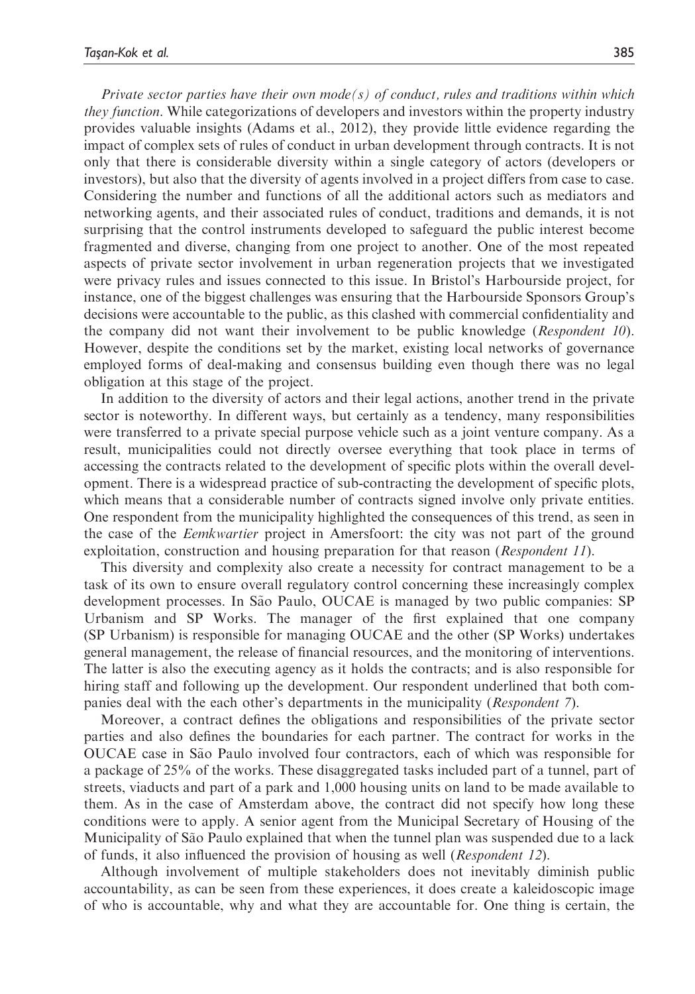Private sector parties have their own mode(s) of conduct, rules and traditions within which they function. While categorizations of developers and investors within the property industry provides valuable insights (Adams et al., 2012), they provide little evidence regarding the impact of complex sets of rules of conduct in urban development through contracts. It is not only that there is considerable diversity within a single category of actors (developers or investors), but also that the diversity of agents involved in a project differs from case to case. Considering the number and functions of all the additional actors such as mediators and networking agents, and their associated rules of conduct, traditions and demands, it is not surprising that the control instruments developed to safeguard the public interest become fragmented and diverse, changing from one project to another. One of the most repeated aspects of private sector involvement in urban regeneration projects that we investigated were privacy rules and issues connected to this issue. In Bristol's Harbourside project, for instance, one of the biggest challenges was ensuring that the Harbourside Sponsors Group's decisions were accountable to the public, as this clashed with commercial confidentiality and the company did not want their involvement to be public knowledge (Respondent 10). However, despite the conditions set by the market, existing local networks of governance employed forms of deal-making and consensus building even though there was no legal obligation at this stage of the project.

In addition to the diversity of actors and their legal actions, another trend in the private sector is noteworthy. In different ways, but certainly as a tendency, many responsibilities were transferred to a private special purpose vehicle such as a joint venture company. As a result, municipalities could not directly oversee everything that took place in terms of accessing the contracts related to the development of specific plots within the overall development. There is a widespread practice of sub-contracting the development of specific plots, which means that a considerable number of contracts signed involve only private entities. One respondent from the municipality highlighted the consequences of this trend, as seen in the case of the *Eemkwartier* project in Amersfoort: the city was not part of the ground exploitation, construction and housing preparation for that reason (Respondent 11).

This diversity and complexity also create a necessity for contract management to be a task of its own to ensure overall regulatory control concerning these increasingly complex development processes. In São Paulo, OUCAE is managed by two public companies: SP Urbanism and SP Works. The manager of the first explained that one company (SP Urbanism) is responsible for managing OUCAE and the other (SP Works) undertakes general management, the release of financial resources, and the monitoring of interventions. The latter is also the executing agency as it holds the contracts; and is also responsible for hiring staff and following up the development. Our respondent underlined that both companies deal with the each other's departments in the municipality (Respondent 7).

Moreover, a contract defines the obligations and responsibilities of the private sector parties and also defines the boundaries for each partner. The contract for works in the OUCAE case in São Paulo involved four contractors, each of which was responsible for a package of 25% of the works. These disaggregated tasks included part of a tunnel, part of streets, viaducts and part of a park and 1,000 housing units on land to be made available to them. As in the case of Amsterdam above, the contract did not specify how long these conditions were to apply. A senior agent from the Municipal Secretary of Housing of the Municipality of São Paulo explained that when the tunnel plan was suspended due to a lack of funds, it also influenced the provision of housing as well (Respondent 12).

Although involvement of multiple stakeholders does not inevitably diminish public accountability, as can be seen from these experiences, it does create a kaleidoscopic image of who is accountable, why and what they are accountable for. One thing is certain, the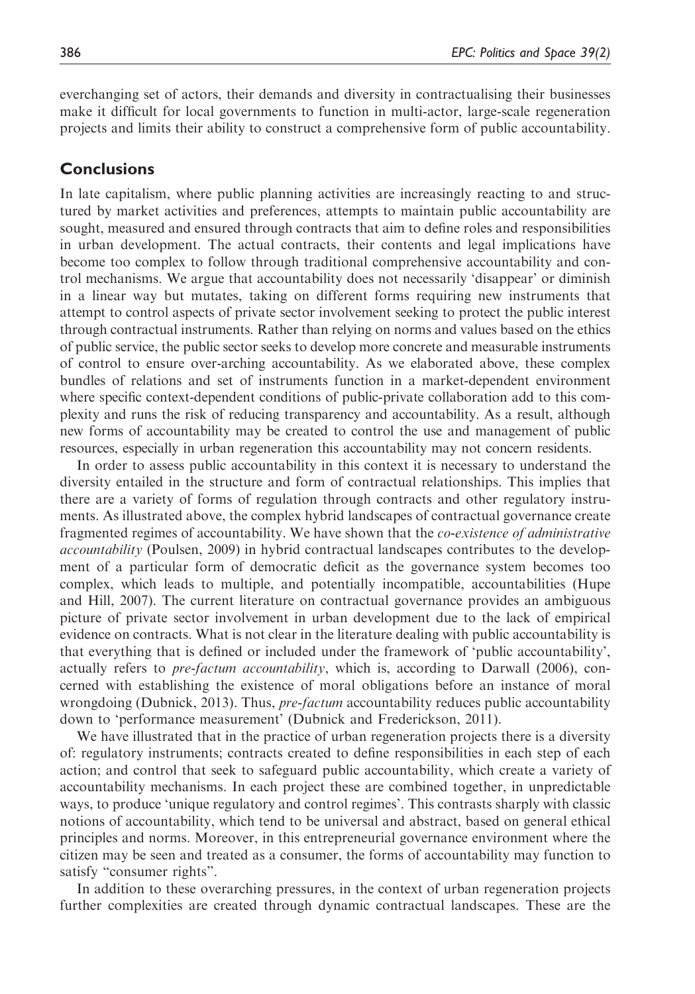everchanging set of actors, their demands and diversity in contractualising their businesses make it difficult for local governments to function in multi-actor, large-scale regeneration projects and limits their ability to construct a comprehensive form of public accountability.

#### **Conclusions**

In late capitalism, where public planning activities are increasingly reacting to and structured by market activities and preferences, attempts to maintain public accountability are sought, measured and ensured through contracts that aim to define roles and responsibilities in urban development. The actual contracts, their contents and legal implications have become too complex to follow through traditional comprehensive accountability and control mechanisms. We argue that accountability does not necessarily 'disappear' or diminish in a linear way but mutates, taking on different forms requiring new instruments that attempt to control aspects of private sector involvement seeking to protect the public interest through contractual instruments. Rather than relying on norms and values based on the ethics of public service, the public sector seeks to develop more concrete and measurable instruments of control to ensure over-arching accountability. As we elaborated above, these complex bundles of relations and set of instruments function in a market-dependent environment where specific context-dependent conditions of public-private collaboration add to this complexity and runs the risk of reducing transparency and accountability. As a result, although new forms of accountability may be created to control the use and management of public resources, especially in urban regeneration this accountability may not concern residents.

In order to assess public accountability in this context it is necessary to understand the diversity entailed in the structure and form of contractual relationships. This implies that there are a variety of forms of regulation through contracts and other regulatory instruments. As illustrated above, the complex hybrid landscapes of contractual governance create fragmented regimes of accountability. We have shown that the *co-existence of administrative* accountability (Poulsen, 2009) in hybrid contractual landscapes contributes to the development of a particular form of democratic deficit as the governance system becomes too complex, which leads to multiple, and potentially incompatible, accountabilities (Hupe and Hill, 2007). The current literature on contractual governance provides an ambiguous picture of private sector involvement in urban development due to the lack of empirical evidence on contracts. What is not clear in the literature dealing with public accountability is that everything that is defined or included under the framework of 'public accountability', actually refers to *pre-factum accountability*, which is, according to Darwall (2006), concerned with establishing the existence of moral obligations before an instance of moral wrongdoing (Dubnick, 2013). Thus, *pre-factum* accountability reduces public accountability down to 'performance measurement' (Dubnick and Frederickson, 2011).

We have illustrated that in the practice of urban regeneration projects there is a diversity of: regulatory instruments; contracts created to define responsibilities in each step of each action; and control that seek to safeguard public accountability, which create a variety of accountability mechanisms. In each project these are combined together, in unpredictable ways, to produce 'unique regulatory and control regimes'. This contrasts sharply with classic notions of accountability, which tend to be universal and abstract, based on general ethical principles and norms. Moreover, in this entrepreneurial governance environment where the citizen may be seen and treated as a consumer, the forms of accountability may function to satisfy "consumer rights".

In addition to these overarching pressures, in the context of urban regeneration projects further complexities are created through dynamic contractual landscapes. These are the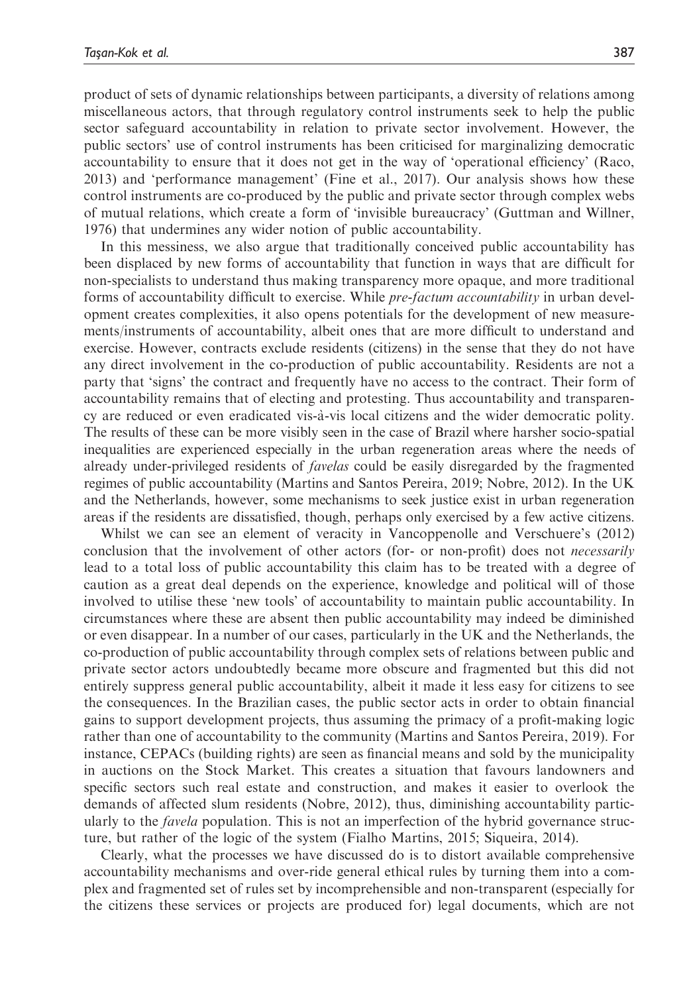product of sets of dynamic relationships between participants, a diversity of relations among miscellaneous actors, that through regulatory control instruments seek to help the public sector safeguard accountability in relation to private sector involvement. However, the public sectors' use of control instruments has been criticised for marginalizing democratic accountability to ensure that it does not get in the way of 'operational efficiency' (Raco, 2013) and 'performance management' (Fine et al., 2017). Our analysis shows how these control instruments are co-produced by the public and private sector through complex webs of mutual relations, which create a form of 'invisible bureaucracy' (Guttman and Willner, 1976) that undermines any wider notion of public accountability.

In this messiness, we also argue that traditionally conceived public accountability has been displaced by new forms of accountability that function in ways that are difficult for non-specialists to understand thus making transparency more opaque, and more traditional forms of accountability difficult to exercise. While *pre-factum accountability* in urban development creates complexities, it also opens potentials for the development of new measurements/instruments of accountability, albeit ones that are more difficult to understand and exercise. However, contracts exclude residents (citizens) in the sense that they do not have any direct involvement in the co-production of public accountability. Residents are not a party that 'signs' the contract and frequently have no access to the contract. Their form of accountability remains that of electing and protesting. Thus accountability and transparency are reduced or even eradicated vis-a`-vis local citizens and the wider democratic polity. The results of these can be more visibly seen in the case of Brazil where harsher socio-spatial inequalities are experienced especially in the urban regeneration areas where the needs of already under-privileged residents of favelas could be easily disregarded by the fragmented regimes of public accountability (Martins and Santos Pereira, 2019; Nobre, 2012). In the UK and the Netherlands, however, some mechanisms to seek justice exist in urban regeneration areas if the residents are dissatisfied, though, perhaps only exercised by a few active citizens.

Whilst we can see an element of veracity in Vancoppenolle and Verschuere's (2012) conclusion that the involvement of other actors (for- or non-profit) does not *necessarily* lead to a total loss of public accountability this claim has to be treated with a degree of caution as a great deal depends on the experience, knowledge and political will of those involved to utilise these 'new tools' of accountability to maintain public accountability. In circumstances where these are absent then public accountability may indeed be diminished or even disappear. In a number of our cases, particularly in the UK and the Netherlands, the co-production of public accountability through complex sets of relations between public and private sector actors undoubtedly became more obscure and fragmented but this did not entirely suppress general public accountability, albeit it made it less easy for citizens to see the consequences. In the Brazilian cases, the public sector acts in order to obtain financial gains to support development projects, thus assuming the primacy of a profit-making logic rather than one of accountability to the community (Martins and Santos Pereira, 2019). For instance, CEPACs (building rights) are seen as financial means and sold by the municipality in auctions on the Stock Market. This creates a situation that favours landowners and specific sectors such real estate and construction, and makes it easier to overlook the demands of affected slum residents (Nobre, 2012), thus, diminishing accountability particularly to the *favela* population. This is not an imperfection of the hybrid governance structure, but rather of the logic of the system (Fialho Martins, 2015; Siqueira, 2014).

Clearly, what the processes we have discussed do is to distort available comprehensive accountability mechanisms and over-ride general ethical rules by turning them into a complex and fragmented set of rules set by incomprehensible and non-transparent (especially for the citizens these services or projects are produced for) legal documents, which are not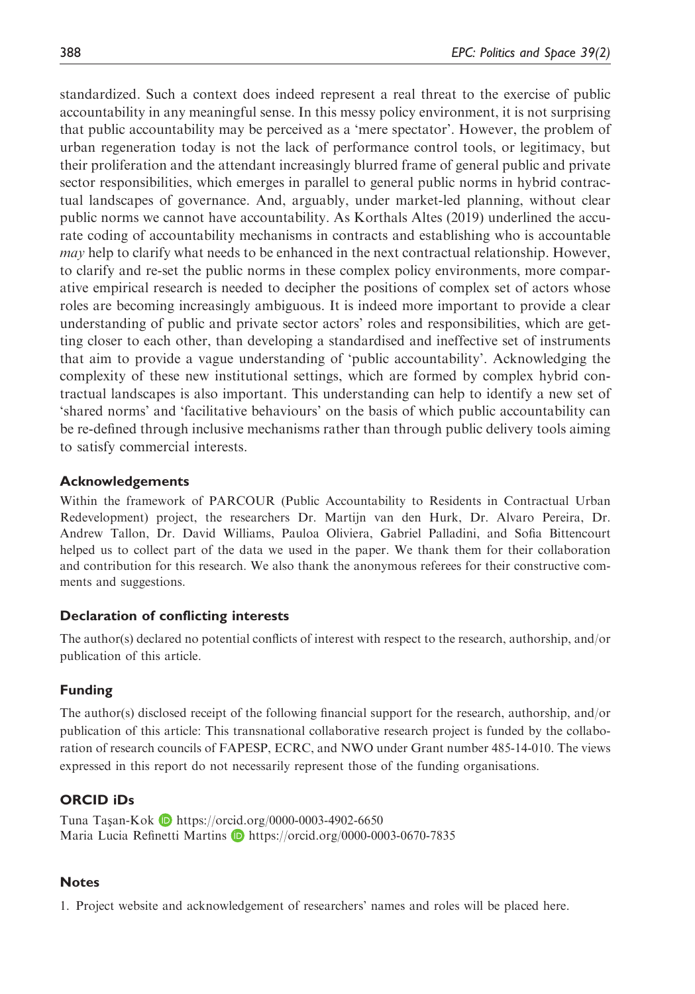standardized. Such a context does indeed represent a real threat to the exercise of public accountability in any meaningful sense. In this messy policy environment, it is not surprising that public accountability may be perceived as a 'mere spectator'. However, the problem of urban regeneration today is not the lack of performance control tools, or legitimacy, but their proliferation and the attendant increasingly blurred frame of general public and private sector responsibilities, which emerges in parallel to general public norms in hybrid contractual landscapes of governance. And, arguably, under market-led planning, without clear public norms we cannot have accountability. As Korthals Altes (2019) underlined the accurate coding of accountability mechanisms in contracts and establishing who is accountable *may* help to clarify what needs to be enhanced in the next contractual relationship. However, to clarify and re-set the public norms in these complex policy environments, more comparative empirical research is needed to decipher the positions of complex set of actors whose roles are becoming increasingly ambiguous. It is indeed more important to provide a clear understanding of public and private sector actors' roles and responsibilities, which are getting closer to each other, than developing a standardised and ineffective set of instruments that aim to provide a vague understanding of 'public accountability'. Acknowledging the complexity of these new institutional settings, which are formed by complex hybrid contractual landscapes is also important. This understanding can help to identify a new set of 'shared norms' and 'facilitative behaviours' on the basis of which public accountability can be re-defined through inclusive mechanisms rather than through public delivery tools aiming to satisfy commercial interests.

#### Acknowledgements

Within the framework of PARCOUR (Public Accountability to Residents in Contractual Urban Redevelopment) project, the researchers Dr. Martijn van den Hurk, Dr. Alvaro Pereira, Dr. Andrew Tallon, Dr. David Williams, Pauloa Oliviera, Gabriel Palladini, and Sofia Bittencourt helped us to collect part of the data we used in the paper. We thank them for their collaboration and contribution for this research. We also thank the anonymous referees for their constructive comments and suggestions.

#### Declaration of conflicting interests

The author(s) declared no potential conflicts of interest with respect to the research, authorship, and/or publication of this article.

#### Funding

The author(s) disclosed receipt of the following financial support for the research, authorship, and/or publication of this article: This transnational collaborative research project is funded by the collaboration of research councils of FAPESP, ECRC, and NWO under Grant number 485-14-010. The views expressed in this report do not necessarily represent those of the funding organisations.

#### ORCID iDs

Tuna Taşan-Kok **b** <https://orcid.org/0000-0003-4902-6650> Maria Lucia Refinetti Martins D <https://orcid.org/0000-0003-0670-7835>

#### Notes

1. Project website and acknowledgement of researchers' names and roles will be placed here.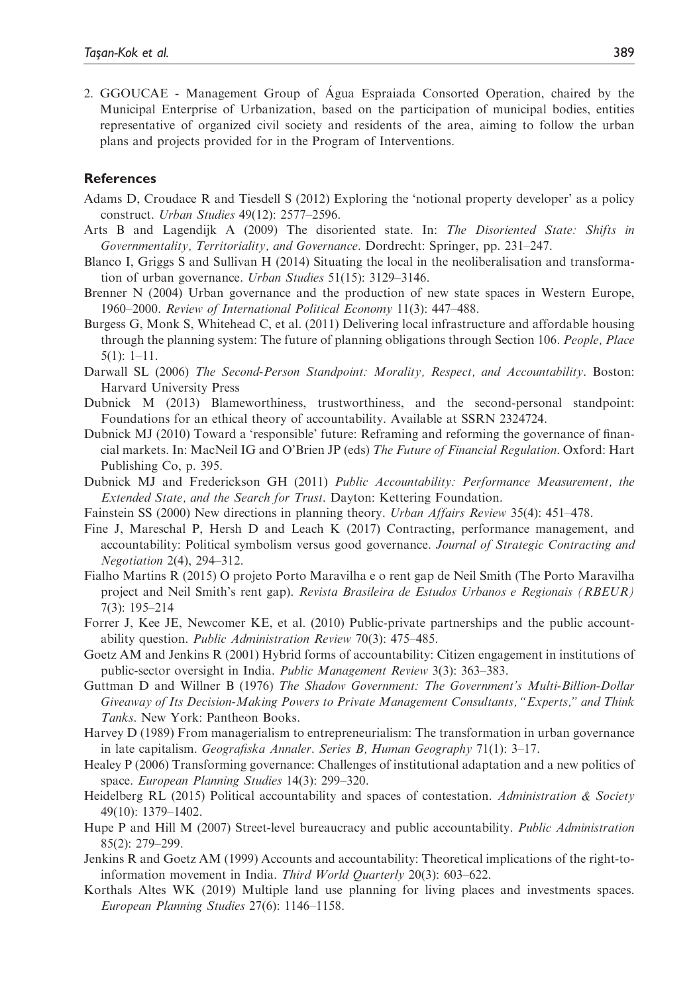2. GGOUCAE - Management Group of Água Espraiada Consorted Operation, chaired by the Municipal Enterprise of Urbanization, based on the participation of municipal bodies, entities representative of organized civil society and residents of the area, aiming to follow the urban plans and projects provided for in the Program of Interventions.

#### **References**

- Adams D, Croudace R and Tiesdell S (2012) Exploring the 'notional property developer' as a policy construct. Urban Studies 49(12): 2577–2596.
- Arts B and Lagendijk A (2009) The disoriented state. In: The Disoriented State: Shifts in Governmentality, Territoriality, and Governance. Dordrecht: Springer, pp. 231–247.
- Blanco I, Griggs S and Sullivan H (2014) Situating the local in the neoliberalisation and transformation of urban governance. Urban Studies 51(15): 3129–3146.
- Brenner N (2004) Urban governance and the production of new state spaces in Western Europe, 1960–2000. Review of International Political Economy 11(3): 447–488.
- Burgess G, Monk S, Whitehead C, et al. (2011) Delivering local infrastructure and affordable housing through the planning system: The future of planning obligations through Section 106. People, Place 5(1): 1–11.
- Darwall SL (2006) The Second-Person Standpoint: Morality, Respect, and Accountability. Boston: Harvard University Press
- Dubnick M (2013) Blameworthiness, trustworthiness, and the second-personal standpoint: Foundations for an ethical theory of accountability. Available at SSRN 2324724.
- Dubnick MJ (2010) Toward a 'responsible' future: Reframing and reforming the governance of financial markets. In: MacNeil IG and O'Brien JP (eds) The Future of Financial Regulation. Oxford: Hart Publishing Co, p. 395.
- Dubnick MJ and Frederickson GH (2011) Public Accountability: Performance Measurement, the Extended State, and the Search for Trust. Dayton: Kettering Foundation.
- Fainstein SS (2000) New directions in planning theory. Urban Affairs Review 35(4): 451–478.
- Fine J, Mareschal P, Hersh D and Leach K (2017) Contracting, performance management, and accountability: Political symbolism versus good governance. Journal of Strategic Contracting and Negotiation 2(4), 294–312.
- Fialho Martins R (2015) O projeto Porto Maravilha e o rent gap de Neil Smith (The Porto Maravilha project and Neil Smith's rent gap). Revista Brasileira de Estudos Urbanos e Regionais (RBEUR) 7(3): 195–214
- Forrer J, Kee JE, Newcomer KE, et al. (2010) Public-private partnerships and the public accountability question. Public Administration Review 70(3): 475–485.
- Goetz AM and Jenkins R (2001) Hybrid forms of accountability: Citizen engagement in institutions of public-sector oversight in India. Public Management Review 3(3): 363-383.
- Guttman D and Willner B (1976) The Shadow Government: The Government's Multi-Billion-Dollar Giveaway of Its Decision-Making Powers to Private Management Consultants, "Experts," and Think Tanks. New York: Pantheon Books.
- Harvey D (1989) From managerialism to entrepreneurialism: The transformation in urban governance in late capitalism. Geografiska Annaler. Series B, Human Geography 71(1): 3–17.
- Healey P (2006) Transforming governance: Challenges of institutional adaptation and a new politics of space. European Planning Studies 14(3): 299-320.
- Heidelberg RL (2015) Political accountability and spaces of contestation. Administration  $\&$  Society 49(10): 1379–1402.
- Hupe P and Hill M (2007) Street-level bureaucracy and public accountability. *Public Administration* 85(2): 279–299.
- Jenkins R and Goetz AM (1999) Accounts and accountability: Theoretical implications of the right-toinformation movement in India. Third World Quarterly 20(3): 603–622.
- Korthals Altes WK (2019) Multiple land use planning for living places and investments spaces. European Planning Studies 27(6): 1146–1158.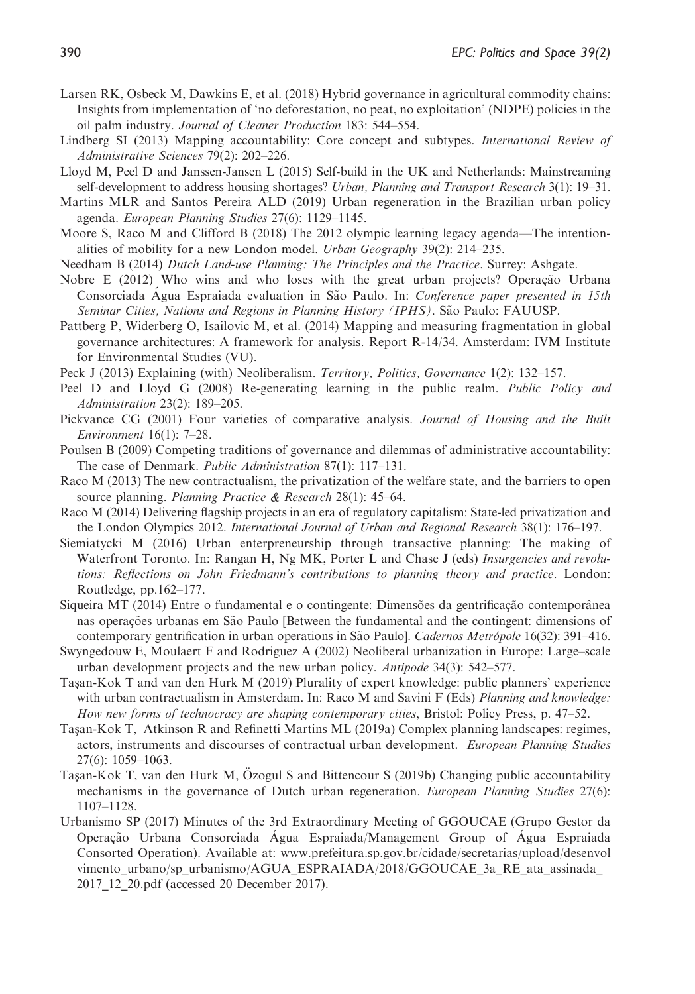- Larsen RK, Osbeck M, Dawkins E, et al. (2018) Hybrid governance in agricultural commodity chains: Insights from implementation of 'no deforestation, no peat, no exploitation' (NDPE) policies in the oil palm industry. Journal of Cleaner Production 183: 544–554.
- Lindberg SI (2013) Mapping accountability: Core concept and subtypes. *International Review of* Administrative Sciences 79(2): 202–226.
- Lloyd M, Peel D and Janssen-Jansen L (2015) Self-build in the UK and Netherlands: Mainstreaming self-development to address housing shortages? *Urban, Planning and Transport Research* 3(1): 19–31.
- Martins MLR and Santos Pereira ALD (2019) Urban regeneration in the Brazilian urban policy agenda. European Planning Studies 27(6): 1129–1145.
- Moore S, Raco M and Clifford B (2018) The 2012 olympic learning legacy agenda—The intentionalities of mobility for a new London model. Urban Geography 39(2): 214–235.
- Needham B (2014) Dutch Land-use Planning: The Principles and the Practice. Surrey: Ashgate.
- Nobre E (2012) Who wins and who loses with the great urban projects? Operação Urbana Consorciada Água Espraiada evaluation in São Paulo. In: Conference paper presented in 15th Seminar Cities, Nations and Regions in Planning History (IPHS). São Paulo: FAUUSP.
- Pattberg P, Widerberg O, Isailovic M, et al. (2014) Mapping and measuring fragmentation in global governance architectures: A framework for analysis. Report R-14/34. Amsterdam: IVM Institute for Environmental Studies (VU).
- Peck J (2013) Explaining (with) Neoliberalism. Territory, Politics, Governance 1(2): 132-157.
- Peel D and Lloyd G (2008) Re-generating learning in the public realm. Public Policy and Administration 23(2): 189–205.
- Pickvance CG (2001) Four varieties of comparative analysis. Journal of Housing and the Built Environment 16(1): 7–28.
- Poulsen B (2009) Competing traditions of governance and dilemmas of administrative accountability: The case of Denmark. Public Administration 87(1): 117–131.
- Raco M (2013) The new contractualism, the privatization of the welfare state, and the barriers to open source planning. Planning Practice & Research 28(1): 45–64.
- Raco M (2014) Delivering flagship projects in an era of regulatory capitalism: State-led privatization and the London Olympics 2012. International Journal of Urban and Regional Research 38(1): 176–197.
- Siemiatycki M (2016) Urban enterpreneurship through transactive planning: The making of Waterfront Toronto. In: Rangan H, Ng MK, Porter L and Chase J (eds) Insurgencies and revolutions: Reflections on John Friedmann's contributions to planning theory and practice. London: Routledge, pp.162–177.
- Siqueira MT (2014) Entre o fundamental e o contingente: Dimensões da gentrificação contemporânea nas operações urbanas em São Paulo [Between the fundamental and the contingent: dimensions of contemporary gentrification in urban operations in São Paulo]. Cadernos Metrópole 16(32): 391-416.
- Swyngedouw E, Moulaert F and Rodriguez A (2002) Neoliberal urbanization in Europe: Large–scale urban development projects and the new urban policy. Antipode 34(3): 542–577.
- Taşan-Kok T and van den Hurk M (2019) Plurality of expert knowledge: public planners' experience with urban contractualism in Amsterdam. In: Raco M and Savini F (Eds) *Planning and knowledge:* How new forms of technocracy are shaping contemporary cities, Bristol: Policy Press, p. 47–52.
- Taşan-Kok T, Atkinson R and Refinetti Martins ML (2019a) Complex planning landscapes: regimes, actors, instruments and discourses of contractual urban development. European Planning Studies 27(6): 1059–1063.
- Taşan-Kok T, van den Hurk M, Ozogul S and Bittencour S (2019b) Changing public accountability mechanisms in the governance of Dutch urban regeneration. *European Planning Studies* 27(6): 1107–1128.
- Urbanismo SP (2017) Minutes of the 3rd Extraordinary Meeting of GGOUCAE (Grupo Gestor da Operação Urbana Consorciada Água Espraiada/Management Group of Água Espraiada Consorted Operation). Available at: [www.prefeitura.sp.gov.br/cidade/secretarias/upload/desenvol](http://www.prefeitura.sp.gov.br/cidade/secretarias/upload/desenvolvimento_urbano/sp_urbanismo/AGUA_ESPRAIADA/2018/GGOUCAE_3a_RE_ata_assinada_2017_12_20.pdf) [vimento\\_urbano/sp\\_urbanismo/AGUA\\_ESPRAIADA/2018/GGOUCAE\\_3a\\_RE\\_ata\\_assinada\\_](http://www.prefeitura.sp.gov.br/cidade/secretarias/upload/desenvolvimento_urbano/sp_urbanismo/AGUA_ESPRAIADA/2018/GGOUCAE_3a_RE_ata_assinada_2017_12_20.pdf) [2017\\_12\\_20.pdf](http://www.prefeitura.sp.gov.br/cidade/secretarias/upload/desenvolvimento_urbano/sp_urbanismo/AGUA_ESPRAIADA/2018/GGOUCAE_3a_RE_ata_assinada_2017_12_20.pdf) (accessed 20 December 2017).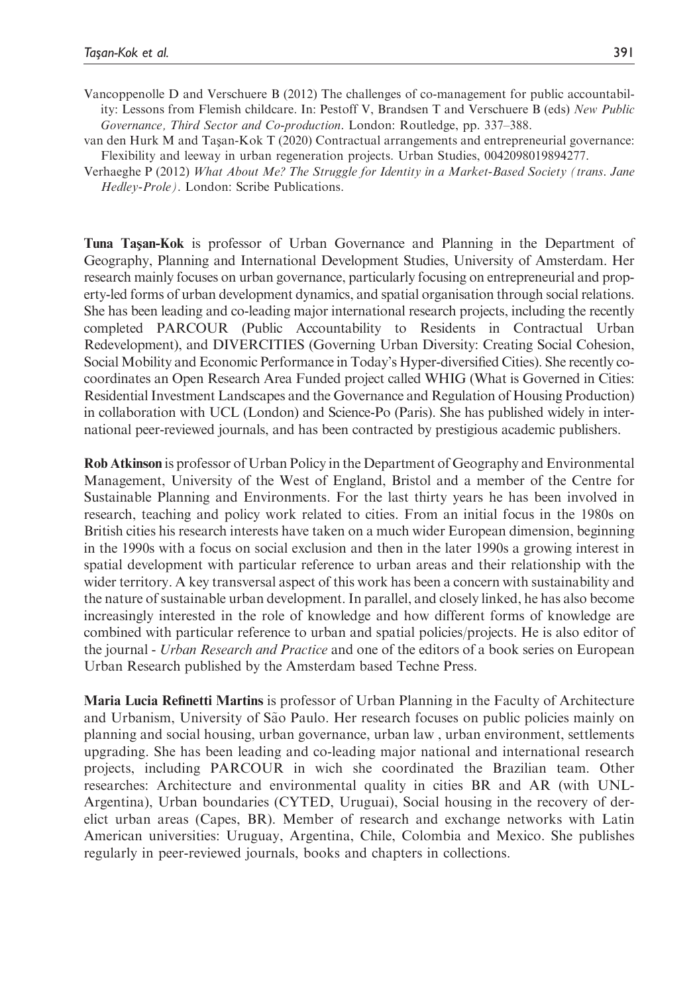- Vancoppenolle D and Verschuere B (2012) The challenges of co-management for public accountability: Lessons from Flemish childcare. In: Pestoff V, Brandsen T and Verschuere B (eds) New Public Governance, Third Sector and Co-production. London: Routledge, pp. 337–388.
- van den Hurk M and Tasan-Kok T (2020) Contractual arrangements and entrepreneurial governance: Flexibility and leeway in urban regeneration projects. Urban Studies, 0042098019894277.
- Verhaeghe P (2012) What About Me? The Struggle for Identity in a Market-Based Society (trans. Jane Hedley-Prole). London: Scribe Publications.

Tuna Tasan-Kok is professor of Urban Governance and Planning in the Department of Geography, Planning and International Development Studies, University of Amsterdam. Her research mainly focuses on urban governance, particularly focusing on entrepreneurial and property-led forms of urban development dynamics, and spatial organisation through social relations. She has been leading and co-leading major international research projects, including the recently completed PARCOUR (Public Accountability to Residents in Contractual Urban Redevelopment), and DIVERCITIES (Governing Urban Diversity: Creating Social Cohesion, Social Mobility and Economic Performance in Today's Hyper-diversified Cities). She recently cocoordinates an Open Research Area Funded project called WHIG (What is Governed in Cities: Residential Investment Landscapes and the Governance and Regulation of Housing Production) in collaboration with UCL (London) and Science-Po (Paris). She has published widely in international peer-reviewed journals, and has been contracted by prestigious academic publishers.

Rob Atkinson is professor of Urban Policy in the Department of Geography and Environmental Management, University of the West of England, Bristol and a member of the Centre for Sustainable Planning and Environments. For the last thirty years he has been involved in research, teaching and policy work related to cities. From an initial focus in the 1980s on British cities his research interests have taken on a much wider European dimension, beginning in the 1990s with a focus on social exclusion and then in the later 1990s a growing interest in spatial development with particular reference to urban areas and their relationship with the wider territory. A key transversal aspect of this work has been a concern with sustainability and the nature of sustainable urban development. In parallel, and closely linked, he has also become increasingly interested in the role of knowledge and how different forms of knowledge are combined with particular reference to urban and spatial policies/projects. He is also editor of the journal - Urban Research and Practice and one of the editors of a book series on European Urban Research published by the Amsterdam based Techne Press.

Maria Lucia Refinetti Martins is professor of Urban Planning in the Faculty of Architecture and Urbanism, University of São Paulo. Her research focuses on public policies mainly on planning and social housing, urban governance, urban law , urban environment, settlements upgrading. She has been leading and co-leading major national and international research projects, including PARCOUR in wich she coordinated the Brazilian team. Other researches: Architecture and environmental quality in cities BR and AR (with UNL-Argentina), Urban boundaries (CYTED, Uruguai), Social housing in the recovery of derelict urban areas (Capes, BR). Member of research and exchange networks with Latin American universities: Uruguay, Argentina, Chile, Colombia and Mexico. She publishes regularly in peer-reviewed journals, books and chapters in collections.